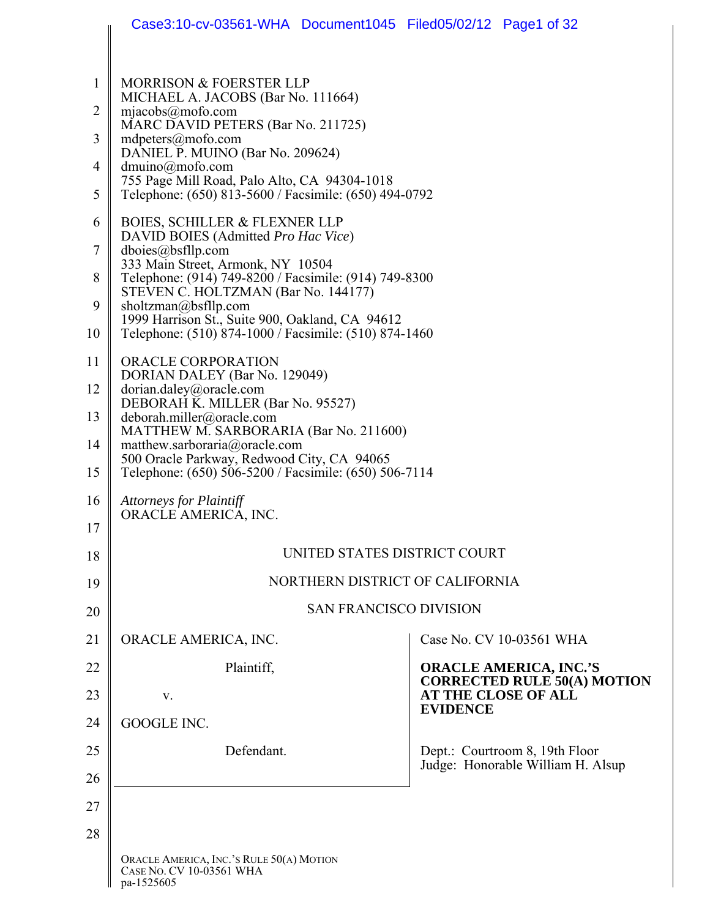|                | Case3:10-cv-03561-WHA Document1045 Filed05/02/12 Page1 of 32                                 |                                                                     |
|----------------|----------------------------------------------------------------------------------------------|---------------------------------------------------------------------|
|                |                                                                                              |                                                                     |
| $\mathbf{1}$   | <b>MORRISON &amp; FOERSTER LLP</b><br>MICHAEL A. JACOBS (Bar No. 111664)                     |                                                                     |
| $\overline{2}$ | mjaecobs@mofo.com<br>MARC DAVID PETERS (Bar No. 211725)                                      |                                                                     |
| 3              | $m\text{d}\text{peters}(\widehat{a})\text{mofo.com}$<br>DANIEL P. MUINO (Bar No. 209624)     |                                                                     |
| 4              | $dmuino(\partial mofo.com)$<br>755 Page Mill Road, Palo Alto, CA 94304-1018                  |                                                                     |
| 5              | Telephone: (650) 813-5600 / Facsimile: (650) 494-0792                                        |                                                                     |
| 6              | <b>BOIES, SCHILLER &amp; FLEXNER LLP</b><br>DAVID BOIES (Admitted Pro Hac Vice)              |                                                                     |
| 7              | dboies@bsfllp.com<br>333 Main Street, Armonk, NY 10504                                       |                                                                     |
| 8              | Telephone: (914) 749-8200 / Facsimile: (914) 749-8300<br>STEVEN C. HOLTZMAN (Bar No. 144177) |                                                                     |
| 9              | sholtzman@bsfllp.com<br>1999 Harrison St., Suite 900, Oakland, CA 94612                      |                                                                     |
| 10             | Telephone: (510) 874-1000 / Facsimile: (510) 874-1460                                        |                                                                     |
| 11             | ORACLE CORPORATION<br>DORIAN DALEY (Bar No. 129049)                                          |                                                                     |
| 12             | dorian.daley@oracle.com<br>DEBORAH K. MILLER (Bar No. 95527)                                 |                                                                     |
| 13             | deborah.miller@oracle.com<br>MATTHEW M. SARBORARIA (Bar No. 211600)                          |                                                                     |
| 14             | matthew.sarboraria@oracle.com<br>500 Oracle Parkway, Redwood City, CA 94065                  |                                                                     |
| 15             | Telephone: (650) 506-5200 / Facsimile: (650) 506-7114                                        |                                                                     |
| 16             | <b>Attorneys for Plaintiff</b><br>ORACLE AMERICA, INC.                                       |                                                                     |
| 17             |                                                                                              |                                                                     |
| 18             | UNITED STATES DISTRICT COURT                                                                 |                                                                     |
| 19             | NORTHERN DISTRICT OF CALIFORNIA                                                              |                                                                     |
| 20             | <b>SAN FRANCISCO DIVISION</b>                                                                |                                                                     |
| 21             | ORACLE AMERICA, INC.                                                                         | Case No. CV 10-03561 WHA                                            |
| 22             | Plaintiff,                                                                                   | <b>ORACLE AMERICA, INC.'S</b><br><b>CORRECTED RULE 50(A) MOTION</b> |
| 23             | V.                                                                                           | <b>AT THE CLOSE OF ALL</b><br><b>EVIDENCE</b>                       |
| 24             | GOOGLE INC.                                                                                  |                                                                     |
| 25             | Defendant.                                                                                   | Dept.: Courtroom 8, 19th Floor<br>Judge: Honorable William H. Alsup |
| 26             |                                                                                              |                                                                     |
| 27             |                                                                                              |                                                                     |
| 28             |                                                                                              |                                                                     |
|                | ORACLE AMERICA, INC.'S RULE 50(A) MOTION<br>CASE NO. CV 10-03561 WHA<br>pa-1525605           |                                                                     |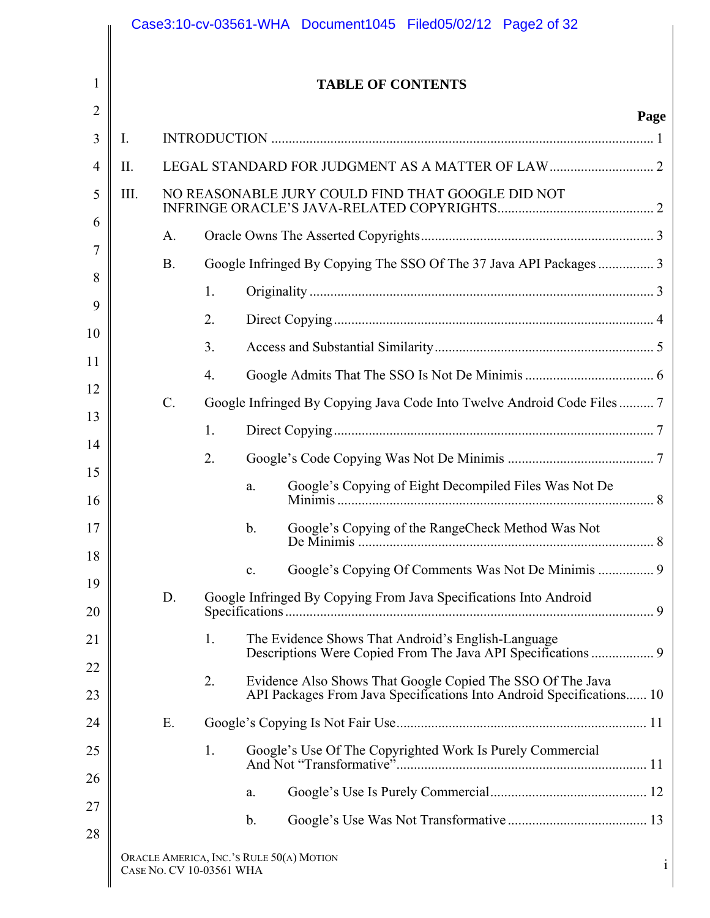|                |      |           |                          | Case3:10-cv-03561-WHA Document1045 Filed05/02/12 Page2 of 32                                                                       |              |
|----------------|------|-----------|--------------------------|------------------------------------------------------------------------------------------------------------------------------------|--------------|
| 1              |      |           |                          | <b>TABLE OF CONTENTS</b>                                                                                                           |              |
| $\overline{2}$ |      |           |                          |                                                                                                                                    | Page         |
| 3              | I.   |           |                          |                                                                                                                                    |              |
| $\overline{4}$ | II.  |           |                          |                                                                                                                                    |              |
| 5              | III. |           |                          | NO REASONABLE JURY COULD FIND THAT GOOGLE DID NOT                                                                                  |              |
| 6              |      | A.        |                          |                                                                                                                                    |              |
| 7              |      | <b>B.</b> |                          | Google Infringed By Copying The SSO Of The 37 Java API Packages  3                                                                 |              |
| 8              |      |           | 1.                       |                                                                                                                                    |              |
| 9              |      |           | 2.                       |                                                                                                                                    |              |
| 10             |      |           | 3.                       |                                                                                                                                    |              |
| 11             |      |           | 4.                       |                                                                                                                                    |              |
| 12             |      | $C$ .     |                          | Google Infringed By Copying Java Code Into Twelve Android Code Files 7                                                             |              |
| 13             |      |           | 1.                       |                                                                                                                                    |              |
| 14             |      |           | 2.                       |                                                                                                                                    |              |
| 15<br>16       |      |           |                          | Google's Copying of Eight Decompiled Files Was Not De<br>a.                                                                        |              |
| 17             |      |           |                          | Google's Copying of the RangeCheck Method Was Not<br>b <sub>1</sub>                                                                |              |
| 18             |      |           |                          | $\mathbf{c}$ .                                                                                                                     |              |
| 19<br>20       |      | D.        |                          | Google Infringed By Copying From Java Specifications Into Android                                                                  |              |
| 21             |      |           | 1.                       | The Evidence Shows That Android's English-Language                                                                                 |              |
| 22             |      |           |                          |                                                                                                                                    |              |
| 23             |      |           | 2.                       | Evidence Also Shows That Google Copied The SSO Of The Java<br>API Packages From Java Specifications Into Android Specifications 10 |              |
| 24             |      | Ε.        |                          |                                                                                                                                    |              |
| 25             |      |           | 1.                       | Google's Use Of The Copyrighted Work Is Purely Commercial                                                                          |              |
| 26             |      |           |                          | a.                                                                                                                                 |              |
| 27             |      |           |                          | $\mathbf b$ .                                                                                                                      |              |
| 28             |      |           | CASE NO. CV 10-03561 WHA | ORACLE AMERICA, INC.'S RULE 50(A) MOTION                                                                                           | $\mathbf{i}$ |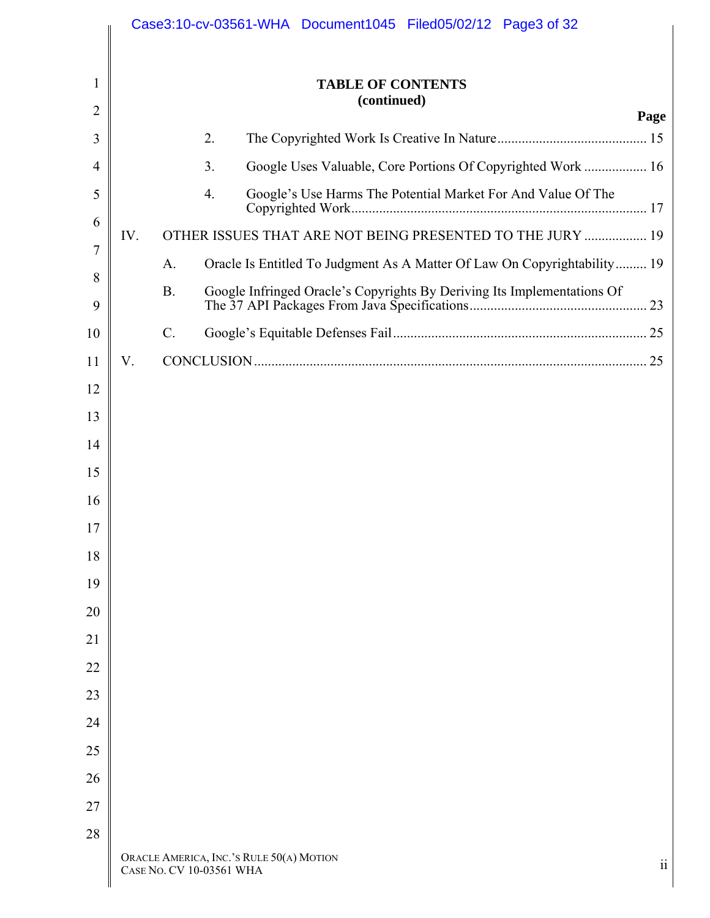|                |     |                          |    | Case3:10-cv-03561-WHA Document1045 Filed05/02/12 Page3 of 32             |                         |
|----------------|-----|--------------------------|----|--------------------------------------------------------------------------|-------------------------|
| 1              |     |                          |    | <b>TABLE OF CONTENTS</b><br>(continued)                                  |                         |
| $\overline{2}$ |     |                          |    |                                                                          | Page                    |
| 3              |     |                          | 2. |                                                                          |                         |
| $\overline{4}$ |     |                          | 3. | Google Uses Valuable, Core Portions Of Copyrighted Work  16              |                         |
| 5              |     |                          | 4. | Google's Use Harms The Potential Market For And Value Of The             |                         |
| 6              | IV. |                          |    | OTHER ISSUES THAT ARE NOT BEING PRESENTED TO THE JURY  19                |                         |
| $\overline{7}$ |     | A.                       |    | Oracle Is Entitled To Judgment As A Matter Of Law On Copyrightability 19 |                         |
| 8<br>9         |     | <b>B.</b>                |    |                                                                          |                         |
| 10             |     | $\mathcal{C}$ .          |    |                                                                          |                         |
| 11             | V.  |                          |    |                                                                          |                         |
| 12             |     |                          |    |                                                                          |                         |
| 13             |     |                          |    |                                                                          |                         |
| 14             |     |                          |    |                                                                          |                         |
| 15             |     |                          |    |                                                                          |                         |
| 16             |     |                          |    |                                                                          |                         |
| 17             |     |                          |    |                                                                          |                         |
| 18             |     |                          |    |                                                                          |                         |
| 19             |     |                          |    |                                                                          |                         |
| 20             |     |                          |    |                                                                          |                         |
| 21             |     |                          |    |                                                                          |                         |
| 22             |     |                          |    |                                                                          |                         |
| 23             |     |                          |    |                                                                          |                         |
| 24             |     |                          |    |                                                                          |                         |
| 25             |     |                          |    |                                                                          |                         |
| 26             |     |                          |    |                                                                          |                         |
| 27             |     |                          |    |                                                                          |                         |
| 28             |     |                          |    |                                                                          |                         |
|                |     | CASE NO. CV 10-03561 WHA |    | ORACLE AMERICA, INC.'S RULE 50(A) MOTION                                 | $\overline{\mathbf{u}}$ |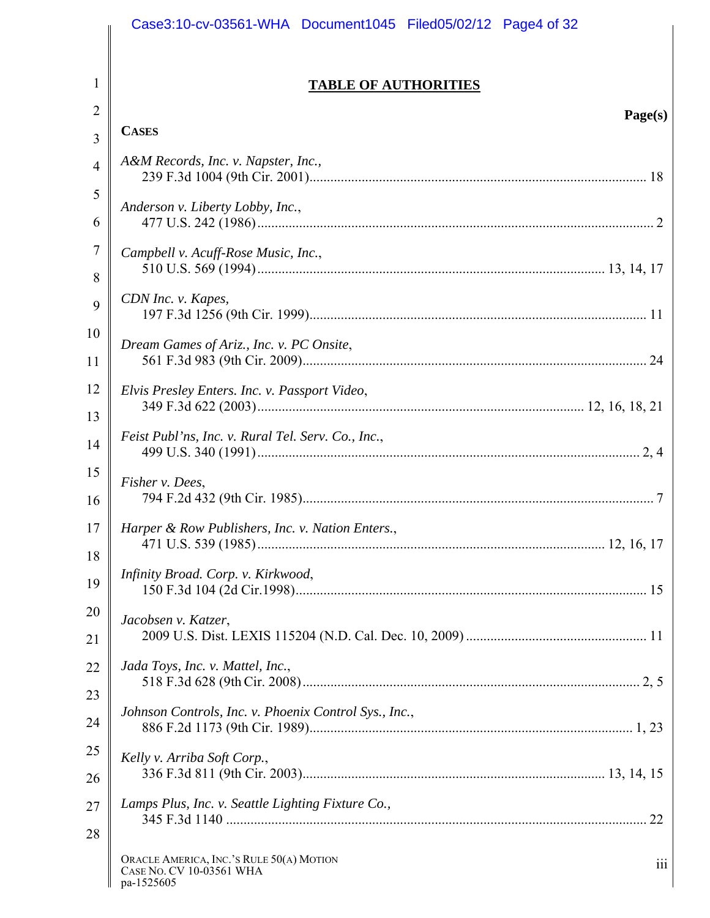|                       | Case3:10-cv-03561-WHA Document1045 Filed05/02/12 Page4 of 32                              |
|-----------------------|-------------------------------------------------------------------------------------------|
| 1                     | <b>TABLE OF AUTHORITIES</b>                                                               |
| $\overline{2}$        | Page(s)                                                                                   |
| $\overline{3}$        | <b>CASES</b>                                                                              |
| $\overline{4}$        | A&M Records, Inc. v. Napster, Inc.,                                                       |
| 5                     | Anderson v. Liberty Lobby, Inc.,                                                          |
| 6                     |                                                                                           |
| $\boldsymbol{7}$<br>8 | Campbell v. Acuff-Rose Music, Inc.,                                                       |
| 9                     | CDN Inc. v. Kapes,                                                                        |
| 10                    | Dream Games of Ariz., Inc. v. PC Onsite,                                                  |
| 11                    |                                                                                           |
| 12                    | Elvis Presley Enters. Inc. v. Passport Video,                                             |
| 13                    |                                                                                           |
| 14                    | Feist Publ'ns, Inc. v. Rural Tel. Serv. Co., Inc.,                                        |
| 15                    | Fisher v. Dees,                                                                           |
| 16                    |                                                                                           |
| 17<br>18              | Harper & Row Publishers, Inc. v. Nation Enters.,                                          |
| 19                    | Infinity Broad. Corp. v. Kirkwood,                                                        |
| 20                    | Jacobsen v. Katzer,                                                                       |
| 21                    |                                                                                           |
| 22                    | Jada Toys, Inc. v. Mattel, Inc.,                                                          |
| 23                    | Johnson Controls, Inc. v. Phoenix Control Sys., Inc.,                                     |
| 24                    |                                                                                           |
| 25                    | Kelly v. Arriba Soft Corp.,                                                               |
| 26                    |                                                                                           |
| 27                    | Lamps Plus, Inc. v. Seattle Lighting Fixture Co.,                                         |
| 28                    | ORACLE AMERICA, INC.'S RULE 50(A) MOTION<br>iii<br>CASE NO. CV 10-03561 WHA<br>pa-1525605 |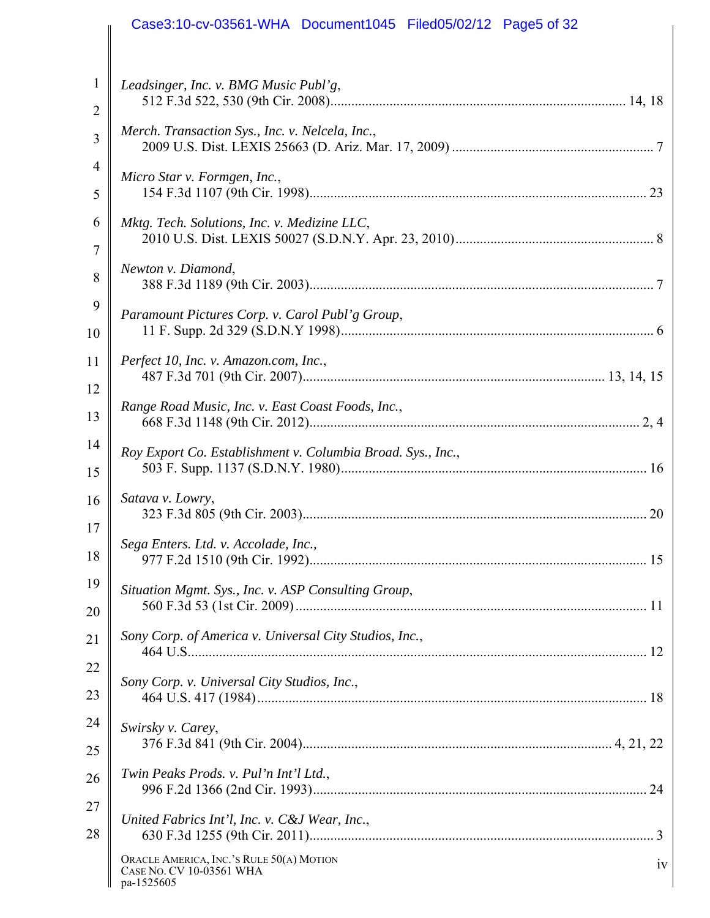|                | Case3:10-cv-03561-WHA Document1045 Filed05/02/12 Page5 of 32                             |
|----------------|------------------------------------------------------------------------------------------|
| 1              | Leadsinger, Inc. v. BMG Music Publ'g,                                                    |
| $\overline{2}$ |                                                                                          |
| 3              | Merch. Transaction Sys., Inc. v. Nelcela, Inc.,                                          |
| $\overline{4}$ | Micro Star v. Formgen, Inc.,                                                             |
| 5              |                                                                                          |
| 6              | Mktg. Tech. Solutions, Inc. v. Medizine LLC,                                             |
| 7              |                                                                                          |
| 8              | Newton v. Diamond,                                                                       |
| 9              | Paramount Pictures Corp. v. Carol Publ'g Group,                                          |
| 10             |                                                                                          |
| 11             | Perfect 10, Inc. v. Amazon.com, Inc.,                                                    |
| 12             |                                                                                          |
| 13             | Range Road Music, Inc. v. East Coast Foods, Inc.,                                        |
| 14             | Roy Export Co. Establishment v. Columbia Broad. Sys., Inc.,                              |
| 15             |                                                                                          |
| 16             | Satava v. Lowry,                                                                         |
| 17             | Sega Enters. Ltd. v. Accolade, Inc.,                                                     |
| 18             |                                                                                          |
| 19             | Situation Mgmt. Sys., Inc. v. ASP Consulting Group,                                      |
| 20             |                                                                                          |
| 21             | Sony Corp. of America v. Universal City Studios, Inc.,                                   |
| 22             | Sony Corp. v. Universal City Studios, Inc.,                                              |
| 23             |                                                                                          |
| 24             | Swirsky v. Carey,                                                                        |
| 25             |                                                                                          |
| 26             | Twin Peaks Prods. v. Pul'n Int'l Ltd.,                                                   |
| 27             | United Fabrics Int'l, Inc. v. C&J Wear, Inc.,                                            |
| 28             |                                                                                          |
|                | ORACLE AMERICA, INC.'S RULE 50(A) MOTION<br>iv<br>CASE NO. CV 10-03561 WHA<br>pa-1525605 |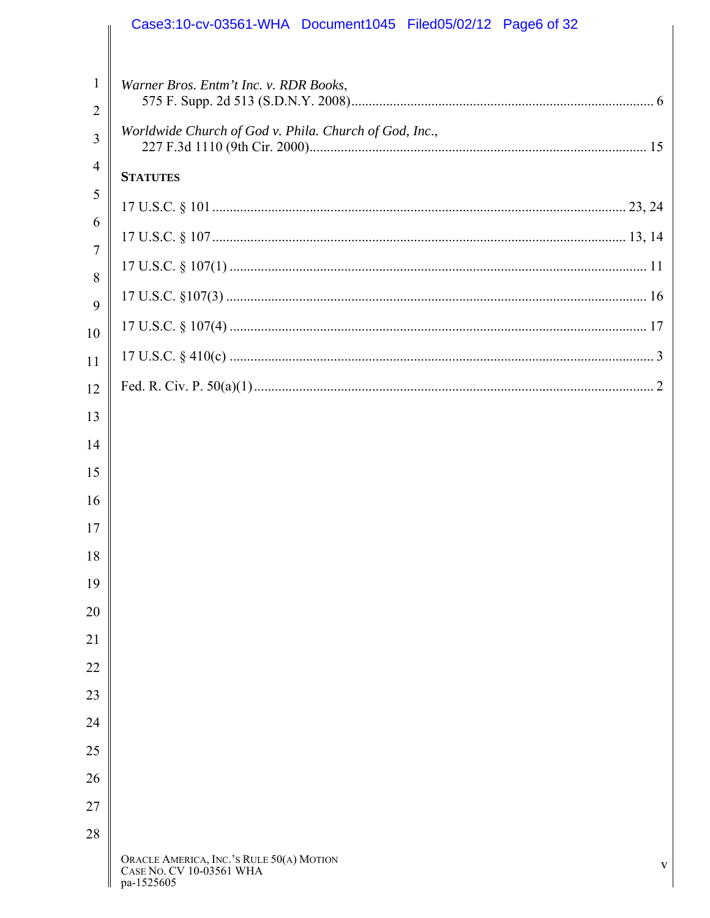|                                | Case3:10-cv-03561-WHA Document1045 Filed05/02/12 Page6 of 32                            |
|--------------------------------|-----------------------------------------------------------------------------------------|
| $\mathbf{1}$<br>$\overline{2}$ | Warner Bros. Entm't Inc. v. RDR Books,                                                  |
| 3                              | Worldwide Church of God v. Phila. Church of God, Inc.,                                  |
| $\overline{4}$                 | <b>STATUTES</b>                                                                         |
| 5                              |                                                                                         |
| 6                              |                                                                                         |
| $\overline{7}$                 |                                                                                         |
| 8                              |                                                                                         |
| 9                              |                                                                                         |
| 10                             |                                                                                         |
| 11                             |                                                                                         |
| 12<br>13                       |                                                                                         |
| 14                             |                                                                                         |
| 15                             |                                                                                         |
| 16                             |                                                                                         |
| 17                             |                                                                                         |
| 18                             |                                                                                         |
| 19                             |                                                                                         |
| 20                             |                                                                                         |
| 21                             |                                                                                         |
| 22                             |                                                                                         |
| 23                             |                                                                                         |
| 24                             |                                                                                         |
| 25                             |                                                                                         |
| 26                             |                                                                                         |
| 27                             |                                                                                         |
| 28                             |                                                                                         |
|                                | ORACLE AMERICA, INC.'S RULE 50(A) MOTION<br>V<br>CASE NO. CV 10-03561 WHA<br>pa-1525605 |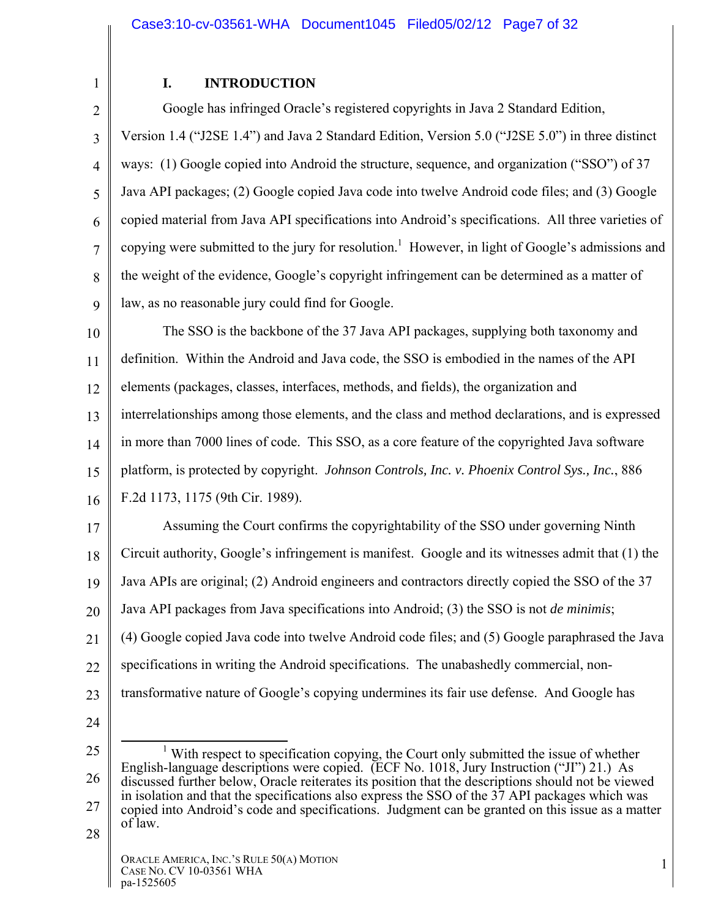## **I. INTRODUCTION**

2 3 4 5 6 7 8 9 Google has infringed Oracle's registered copyrights in Java 2 Standard Edition, Version 1.4 ("J2SE 1.4") and Java 2 Standard Edition, Version 5.0 ("J2SE 5.0") in three distinct ways: (1) Google copied into Android the structure, sequence, and organization ("SSO") of 37 Java API packages; (2) Google copied Java code into twelve Android code files; and (3) Google copied material from Java API specifications into Android's specifications. All three varieties of copying were submitted to the jury for resolution.<sup>1</sup> However, in light of Google's admissions and the weight of the evidence, Google's copyright infringement can be determined as a matter of law, as no reasonable jury could find for Google.

10 11 12 13 14 15 16 The SSO is the backbone of the 37 Java API packages, supplying both taxonomy and definition. Within the Android and Java code, the SSO is embodied in the names of the API elements (packages, classes, interfaces, methods, and fields), the organization and interrelationships among those elements, and the class and method declarations, and is expressed in more than 7000 lines of code. This SSO, as a core feature of the copyrighted Java software platform, is protected by copyright. *Johnson Controls, Inc. v. Phoenix Control Sys., Inc.*, 886 F.2d 1173, 1175 (9th Cir. 1989).

17 18 19 20 21 22 23 Assuming the Court confirms the copyrightability of the SSO under governing Ninth Circuit authority, Google's infringement is manifest. Google and its witnesses admit that (1) the Java APIs are original; (2) Android engineers and contractors directly copied the SSO of the 37 Java API packages from Java specifications into Android; (3) the SSO is not *de minimis*; (4) Google copied Java code into twelve Android code files; and (5) Google paraphrased the Java specifications in writing the Android specifications. The unabashedly commercial, nontransformative nature of Google's copying undermines its fair use defense. And Google has

24

1

<sup>25</sup>  26 27  $\frac{1}{1}$ <sup>1</sup> With respect to specification copying, the Court only submitted the issue of whether English-language descriptions were copied. (ECF No. 1018, Jury Instruction ("JI") 21.) As discussed further below, Oracle reiterates its position that the descriptions should not be viewed in isolation and that the specifications also express the SSO of the 37 API packages which was copied into Android's code and specifications. Judgment can be granted on this issue as a matter of law.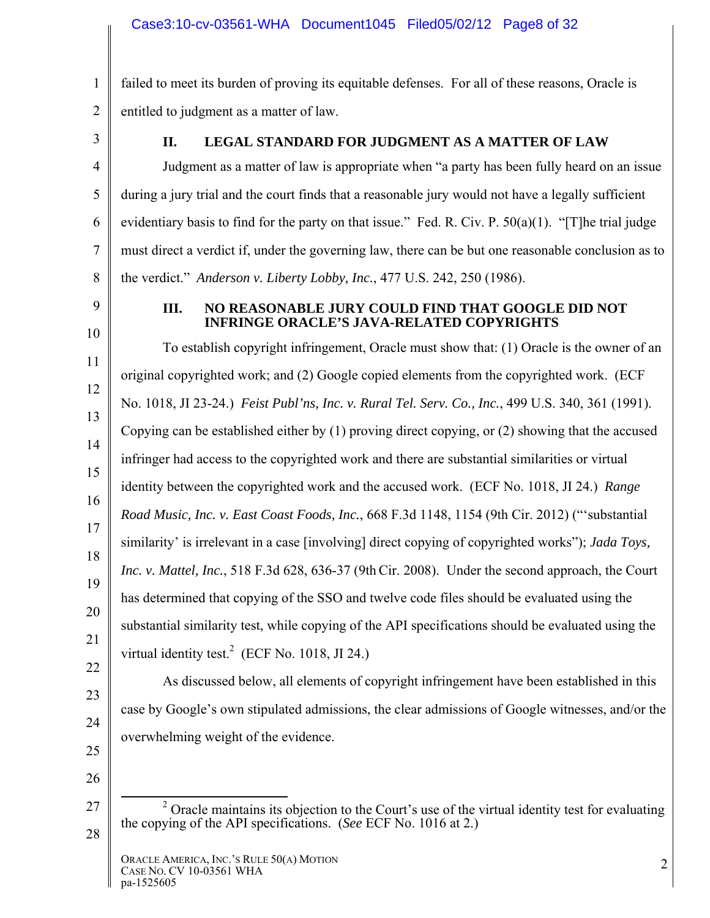1 2 failed to meet its burden of proving its equitable defenses. For all of these reasons, Oracle is entitled to judgment as a matter of law.

3

4

5

6

7

8

## **II. LEGAL STANDARD FOR JUDGMENT AS A MATTER OF LAW**

Judgment as a matter of law is appropriate when "a party has been fully heard on an issue during a jury trial and the court finds that a reasonable jury would not have a legally sufficient evidentiary basis to find for the party on that issue." Fed. R. Civ. P. 50(a)(1). "[T]he trial judge must direct a verdict if, under the governing law, there can be but one reasonable conclusion as to the verdict." *Anderson v. Liberty Lobby, Inc.*, 477 U.S. 242, 250 (1986).

9

10

#### **III. NO REASONABLE JURY COULD FIND THAT GOOGLE DID NOT INFRINGE ORACLE'S JAVA-RELATED COPYRIGHTS**

11 12 13 14 15 16 17 18 19 20 21 To establish copyright infringement, Oracle must show that: (1) Oracle is the owner of an original copyrighted work; and (2) Google copied elements from the copyrighted work. (ECF No. 1018, JI 23-24.) *Feist Publ'ns, Inc. v. Rural Tel. Serv. Co., Inc.*, 499 U.S. 340, 361 (1991). Copying can be established either by (1) proving direct copying, or (2) showing that the accused infringer had access to the copyrighted work and there are substantial similarities or virtual identity between the copyrighted work and the accused work. (ECF No. 1018, JI 24.) *Range Road Music, Inc. v. East Coast Foods, Inc.*, 668 F.3d 1148, 1154 (9th Cir. 2012) ("'substantial similarity' is irrelevant in a case [involving] direct copying of copyrighted works"); *Jada Toys, Inc. v. Mattel, Inc.*, 518 F.3d 628, 636-37 (9thCir. 2008). Under the second approach, the Court has determined that copying of the SSO and twelve code files should be evaluated using the substantial similarity test, while copying of the API specifications should be evaluated using the virtual identity test.<sup>2</sup> (ECF No. 1018, JI 24.)

- 22 23
- 24
- 25
- 26

27

28

As discussed below, all elements of copyright infringement have been established in this

case by Google's own stipulated admissions, the clear admissions of Google witnesses, and/or the

overwhelming weight of the evidence.

 <sup>2</sup>  $\alpha$ <sup>2</sup> Oracle maintains its objection to the Court's use of the virtual identity test for evaluating the copying of the API specifications. (*See* ECF No. 1016 at 2.)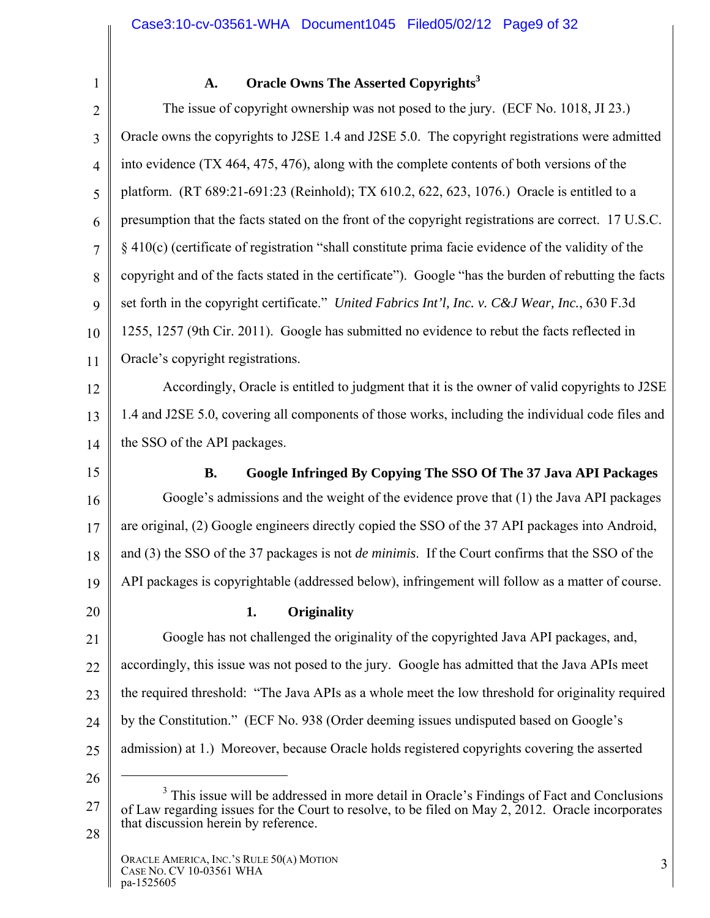1

### A. Oracle Owns The Asserted Copyrights<sup>3</sup>

2 3 4 5 6 7 8 9 10 11 The issue of copyright ownership was not posed to the jury. (ECF No. 1018, JI 23.) Oracle owns the copyrights to J2SE 1.4 and J2SE 5.0. The copyright registrations were admitted into evidence (TX 464, 475, 476), along with the complete contents of both versions of the platform. (RT 689:21-691:23 (Reinhold); TX 610.2, 622, 623, 1076.) Oracle is entitled to a presumption that the facts stated on the front of the copyright registrations are correct. 17 U.S.C. § 410(c) (certificate of registration "shall constitute prima facie evidence of the validity of the copyright and of the facts stated in the certificate"). Google "has the burden of rebutting the facts set forth in the copyright certificate." *United Fabrics Int'l, Inc. v. C&J Wear, Inc.*, 630 F.3d 1255, 1257 (9th Cir. 2011). Google has submitted no evidence to rebut the facts reflected in Oracle's copyright registrations.

12 13 14 Accordingly, Oracle is entitled to judgment that it is the owner of valid copyrights to J2SE 1.4 and J2SE 5.0, covering all components of those works, including the individual code files and the SSO of the API packages.

15

## **B. Google Infringed By Copying The SSO Of The 37 Java API Packages**

16 17 18 19 Google's admissions and the weight of the evidence prove that (1) the Java API packages are original, (2) Google engineers directly copied the SSO of the 37 API packages into Android, and (3) the SSO of the 37 packages is not *de minimis*. If the Court confirms that the SSO of the API packages is copyrightable (addressed below), infringement will follow as a matter of course.

20

#### **1. Originality**

21 22 23 24 25 Google has not challenged the originality of the copyrighted Java API packages, and, accordingly, this issue was not posed to the jury. Google has admitted that the Java APIs meet the required threshold: "The Java APIs as a whole meet the low threshold for originality required by the Constitution." (ECF No. 938 (Order deeming issues undisputed based on Google's admission) at 1.) Moreover, because Oracle holds registered copyrights covering the asserted

26

 $\overline{a}$ 

<sup>27</sup>  <sup>3</sup> This issue will be addressed in more detail in Oracle's Findings of Fact and Conclusions of Law regarding issues for the Court to resolve, to be filed on May 2, 2012. Oracle incorporates that discussion herein by reference.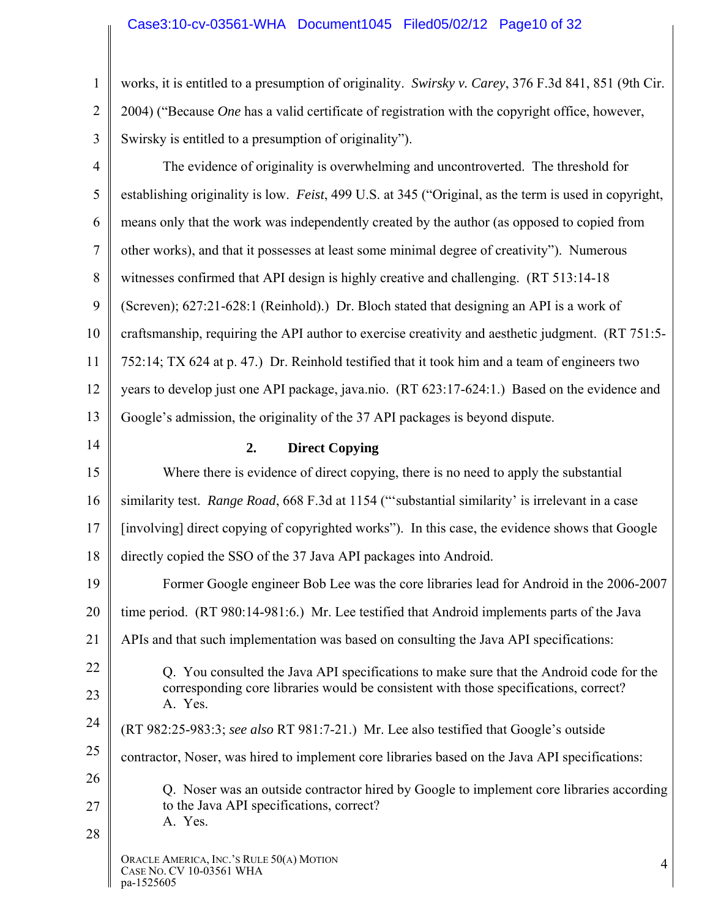1 2 3 works, it is entitled to a presumption of originality. *Swirsky v. Carey*, 376 F.3d 841, 851 (9th Cir. 2004) ("Because *One* has a valid certificate of registration with the copyright office, however, Swirsky is entitled to a presumption of originality").

| $\overline{4}$ | The evidence of originality is overwhelming and uncontroverted. The threshold for                     |
|----------------|-------------------------------------------------------------------------------------------------------|
| 5              | establishing originality is low. Feist, 499 U.S. at 345 ("Original, as the term is used in copyright, |
| 6              | means only that the work was independently created by the author (as opposed to copied from           |
| $\overline{7}$ | other works), and that it possesses at least some minimal degree of creativity"). Numerous            |
| 8              | witnesses confirmed that API design is highly creative and challenging. (RT 513:14-18)                |
| 9              | (Screven); 627:21-628:1 (Reinhold).) Dr. Bloch stated that designing an API is a work of              |
| 10             | craftsmanship, requiring the API author to exercise creativity and aesthetic judgment. (RT 751:5-     |
| 11             | 752:14; TX 624 at p. 47.) Dr. Reinhold testified that it took him and a team of engineers two         |
| 12             | years to develop just one API package, java.nio. (RT 623:17-624:1.) Based on the evidence and         |
| 13             | Google's admission, the originality of the 37 API packages is beyond dispute.                         |
| 14             | 2.<br><b>Direct Copying</b>                                                                           |
| 15             | Where there is evidence of direct copying, there is no need to apply the substantial                  |
| 16             | similarity test. Range Road, 668 F.3d at 1154 ("'substantial similarity' is irrelevant in a case      |
| 17             | [involving] direct copying of copyrighted works"). In this case, the evidence shows that Google       |
| 18             | directly copied the SSO of the 37 Java API packages into Android.                                     |
| 19             | Former Google engineer Bob Lee was the core libraries lead for Android in the 2006-2007               |
| 20             | time period. (RT 980:14-981:6.) Mr. Lee testified that Android implements parts of the Java           |
| 21             | APIs and that such implementation was based on consulting the Java API specifications:                |
| 22             | O. You consulted the Java API specifications to make sure that the Android code for the               |
| 23             | corresponding core libraries would be consistent with those specifications, correct?<br>A. Yes.       |
| 24             | (RT 982:25-983:3; see also RT 981:7-21.) Mr. Lee also testified that Google's outside                 |
| 25             | contractor, Noser, was hired to implement core libraries based on the Java API specifications:        |
| 26             | Q. Noser was an outside contractor hired by Google to implement core libraries according              |
| 27<br>28       | to the Java API specifications, correct?<br>A. Yes.                                                   |
|                | ORACLE AMERICA, INC.'S RULE 50(A) MOTION<br>$\overline{4}$<br>CASE NO. CV 10-03561 WHA<br>pa-1525605  |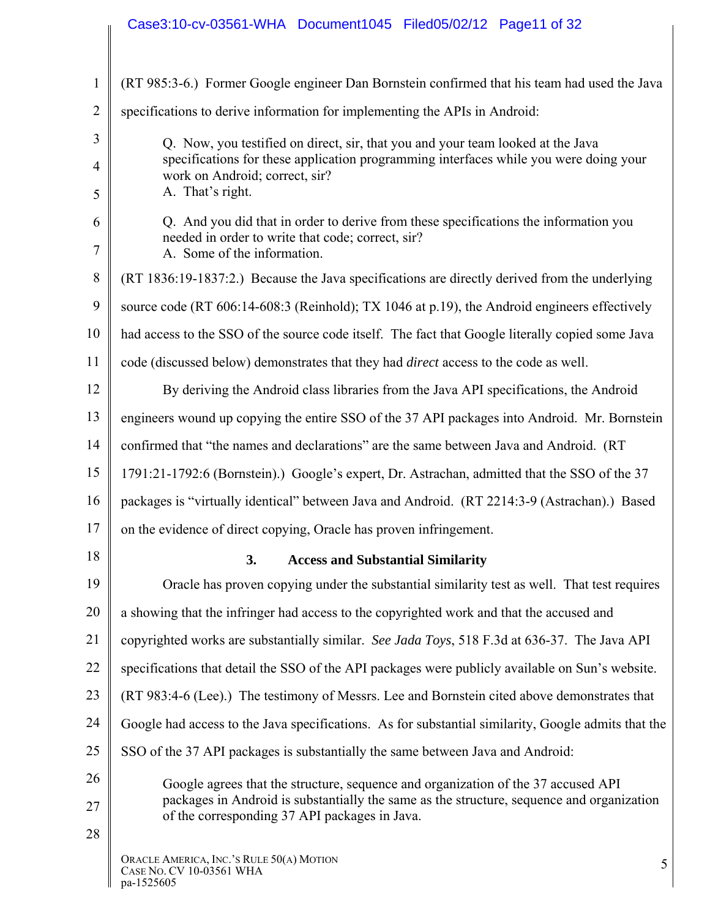|                | Case3:10-cv-03561-WHA Document1045 Filed05/02/12 Page11 of 32                                                                                                            |
|----------------|--------------------------------------------------------------------------------------------------------------------------------------------------------------------------|
|                |                                                                                                                                                                          |
| $\mathbf{1}$   | (RT 985:3-6.) Former Google engineer Dan Bornstein confirmed that his team had used the Java                                                                             |
| $\overline{2}$ | specifications to derive information for implementing the APIs in Android:                                                                                               |
| 3              | Q. Now, you testified on direct, sir, that you and your team looked at the Java                                                                                          |
| $\overline{4}$ | specifications for these application programming interfaces while you were doing your<br>work on Android; correct, sir?                                                  |
| 5              | A. That's right.                                                                                                                                                         |
| 6<br>7         | Q. And you did that in order to derive from these specifications the information you<br>needed in order to write that code; correct, sir?<br>A. Some of the information. |
| 8              | (RT 1836:19-1837:2.) Because the Java specifications are directly derived from the underlying                                                                            |
| 9              | source code (RT 606:14-608:3 (Reinhold); TX 1046 at p.19), the Android engineers effectively                                                                             |
| 10             | had access to the SSO of the source code itself. The fact that Google literally copied some Java                                                                         |
| 11             | code (discussed below) demonstrates that they had <i>direct</i> access to the code as well.                                                                              |
| 12             | By deriving the Android class libraries from the Java API specifications, the Android                                                                                    |
| 13             | engineers wound up copying the entire SSO of the 37 API packages into Android. Mr. Bornstein                                                                             |
| 14             | confirmed that "the names and declarations" are the same between Java and Android. (RT)                                                                                  |
| 15             | 1791:21-1792:6 (Bornstein).) Google's expert, Dr. Astrachan, admitted that the SSO of the 37                                                                             |
| 16             | packages is "virtually identical" between Java and Android. (RT 2214:3-9 (Astrachan).) Based                                                                             |
| 17             | on the evidence of direct copying, Oracle has proven infringement.                                                                                                       |
| 18             | 3.<br><b>Access and Substantial Similarity</b>                                                                                                                           |
| 19             | Oracle has proven copying under the substantial similarity test as well. That test requires                                                                              |
| 20             | a showing that the infringer had access to the copyrighted work and that the accused and                                                                                 |
| 21             | copyrighted works are substantially similar. See Jada Toys, 518 F.3d at 636-37. The Java API                                                                             |
| 22             | specifications that detail the SSO of the API packages were publicly available on Sun's website.                                                                         |
| 23             | (RT 983:4-6 (Lee).) The testimony of Messrs. Lee and Bornstein cited above demonstrates that                                                                             |
| 24             | Google had access to the Java specifications. As for substantial similarity, Google admits that the                                                                      |
| 25             | SSO of the 37 API packages is substantially the same between Java and Android:                                                                                           |
| 26             | Google agrees that the structure, sequence and organization of the 37 accused API                                                                                        |
| 27             | packages in Android is substantially the same as the structure, sequence and organization<br>of the corresponding 37 API packages in Java.                               |
| 28             |                                                                                                                                                                          |
|                | ORACLE AMERICA, INC.'S RULE 50(A) MOTION<br>5<br>CASE NO. CV 10-03561 WHA<br>pa-1525605                                                                                  |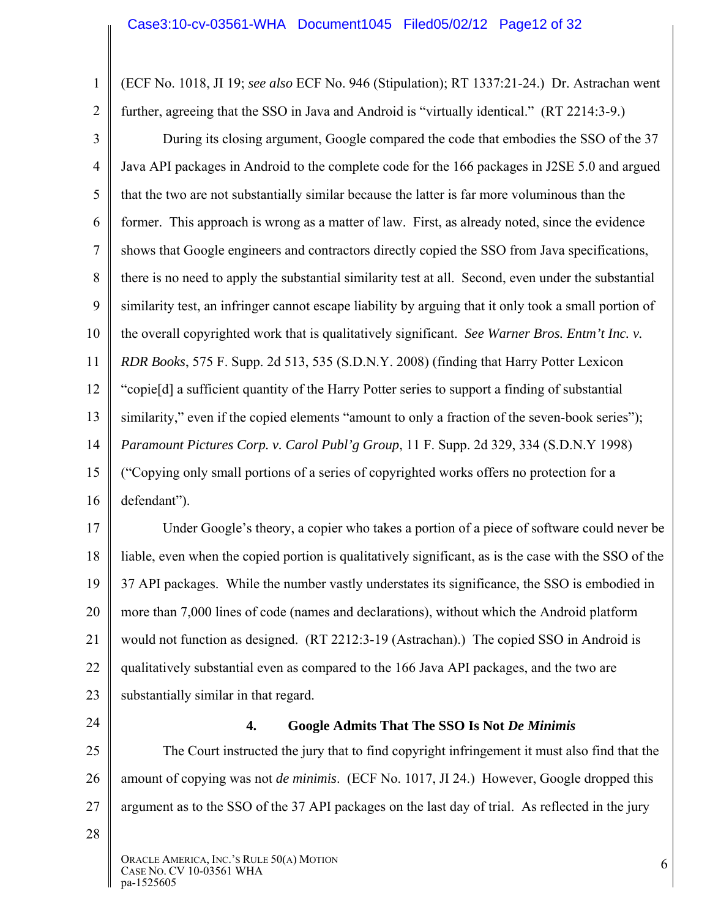(ECF No. 1018, JI 19; *see also* ECF No. 946 (Stipulation); RT 1337:21-24.) Dr. Astrachan went further, agreeing that the SSO in Java and Android is "virtually identical." (RT 2214:3-9.)

3 4 5 6 7 8 9 10 11 12 13 14 15 16 During its closing argument, Google compared the code that embodies the SSO of the 37 Java API packages in Android to the complete code for the 166 packages in J2SE 5.0 and argued that the two are not substantially similar because the latter is far more voluminous than the former. This approach is wrong as a matter of law. First, as already noted, since the evidence shows that Google engineers and contractors directly copied the SSO from Java specifications, there is no need to apply the substantial similarity test at all. Second, even under the substantial similarity test, an infringer cannot escape liability by arguing that it only took a small portion of the overall copyrighted work that is qualitatively significant. *See Warner Bros. Entm't Inc. v. RDR Books*, 575 F. Supp. 2d 513, 535 (S.D.N.Y. 2008) (finding that Harry Potter Lexicon "copie[d] a sufficient quantity of the Harry Potter series to support a finding of substantial similarity," even if the copied elements "amount to only a fraction of the seven-book series"); *Paramount Pictures Corp. v. Carol Publ'g Group*, 11 F. Supp. 2d 329, 334 (S.D.N.Y 1998) ("Copying only small portions of a series of copyrighted works offers no protection for a defendant").

17 18 19 20 21 22 23 Under Google's theory, a copier who takes a portion of a piece of software could never be liable, even when the copied portion is qualitatively significant, as is the case with the SSO of the 37 API packages. While the number vastly understates its significance, the SSO is embodied in more than 7,000 lines of code (names and declarations), without which the Android platform would not function as designed. (RT 2212:3-19 (Astrachan).) The copied SSO in Android is qualitatively substantial even as compared to the 166 Java API packages, and the two are substantially similar in that regard.

24

1

2

#### **4. Google Admits That The SSO Is Not** *De Minimis*

25 26 27 The Court instructed the jury that to find copyright infringement it must also find that the amount of copying was not *de minimis*. (ECF No. 1017, JI 24.) However, Google dropped this argument as to the SSO of the 37 API packages on the last day of trial. As reflected in the jury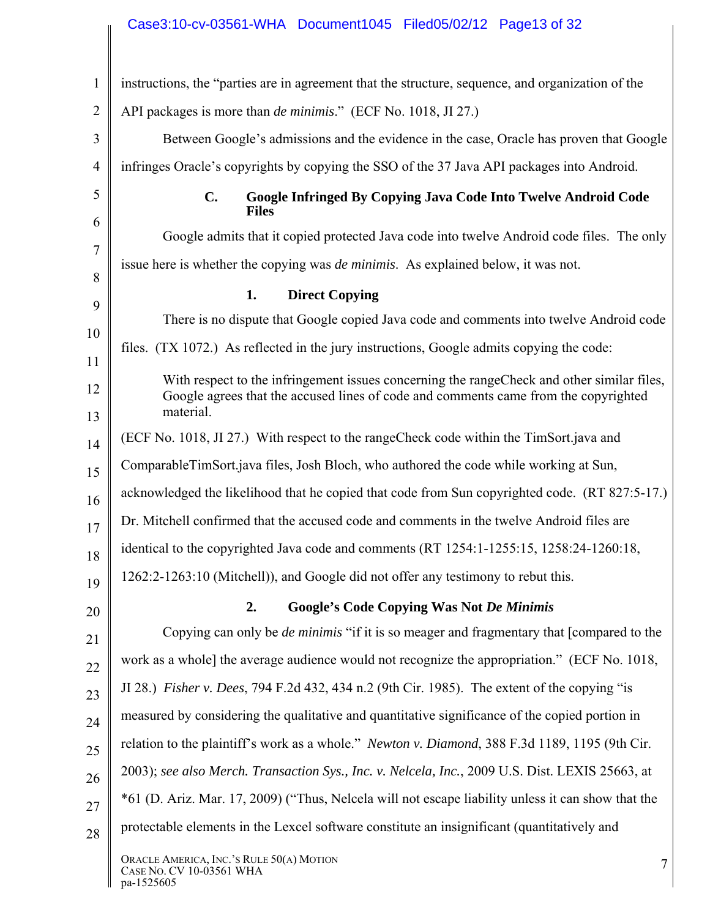## Case3:10-cv-03561-WHA Document1045 Filed05/02/12 Page13 of 32

| $\mathbf{1}$   | instructions, the "parties are in agreement that the structure, sequence, and organization of the                                                                                               |
|----------------|-------------------------------------------------------------------------------------------------------------------------------------------------------------------------------------------------|
| $\overline{2}$ | API packages is more than <i>de minimis</i> ." (ECF No. 1018, JI 27.)                                                                                                                           |
| 3              | Between Google's admissions and the evidence in the case, Oracle has proven that Google                                                                                                         |
| $\overline{4}$ | infringes Oracle's copyrights by copying the SSO of the 37 Java API packages into Android.                                                                                                      |
| 5              | $C_{\bullet}$<br>Google Infringed By Copying Java Code Into Twelve Android Code<br><b>Files</b>                                                                                                 |
| 6              | Google admits that it copied protected Java code into twelve Android code files. The only                                                                                                       |
| $\tau$         | issue here is whether the copying was <i>de minimis</i> . As explained below, it was not.                                                                                                       |
| 8              | <b>Direct Copying</b><br>1.                                                                                                                                                                     |
| 9              | There is no dispute that Google copied Java code and comments into twelve Android code                                                                                                          |
| 10<br>11       | files. (TX 1072.) As reflected in the jury instructions, Google admits copying the code:                                                                                                        |
| 12<br>13       | With respect to the infringement issues concerning the range Check and other similar files,<br>Google agrees that the accused lines of code and comments came from the copyrighted<br>material. |
| 14             | (ECF No. 1018, JI 27.) With respect to the range Check code within the TimSort java and                                                                                                         |
| 15             | ComparableTimSort.java files, Josh Bloch, who authored the code while working at Sun,                                                                                                           |
| 16             | acknowledged the likelihood that he copied that code from Sun copyrighted code. (RT 827:5-17.)                                                                                                  |
| 17             | Dr. Mitchell confirmed that the accused code and comments in the twelve Android files are                                                                                                       |
| 18             | identical to the copyrighted Java code and comments (RT 1254:1-1255:15, 1258:24-1260:18,                                                                                                        |
| 19             | 1262:2-1263:10 (Mitchell)), and Google did not offer any testimony to rebut this.                                                                                                               |
| 20             | <b>Google's Code Copying Was Not De Minimis</b><br>2.                                                                                                                                           |
| 21             | Copying can only be <i>de minimis</i> "if it is so meager and fragmentary that [compared to the                                                                                                 |
| 22             | work as a whole] the average audience would not recognize the appropriation." (ECF No. 1018,                                                                                                    |
| 23             | JI 28.) <i>Fisher v. Dees, 794 F.2d 432, 434 n.2 (9th Cir. 1985)</i> . The extent of the copying "is                                                                                            |
| 24             | measured by considering the qualitative and quantitative significance of the copied portion in                                                                                                  |
| 25             | relation to the plaintiff's work as a whole." Newton v. Diamond, 388 F.3d 1189, 1195 (9th Cir.                                                                                                  |
| 26             | 2003); see also Merch. Transaction Sys., Inc. v. Nelcela, Inc., 2009 U.S. Dist. LEXIS 25663, at                                                                                                 |
| 27             | *61 (D. Ariz. Mar. 17, 2009) ("Thus, Nelcela will not escape liability unless it can show that the                                                                                              |
| 28             | protectable elements in the Lexcel software constitute an insignificant (quantitatively and                                                                                                     |
|                | ORACLE AMERICA, INC.'S RULE 50(A) MOTION<br>7<br>CASE NO. CV 10-03561 WHA<br>pa-1525605                                                                                                         |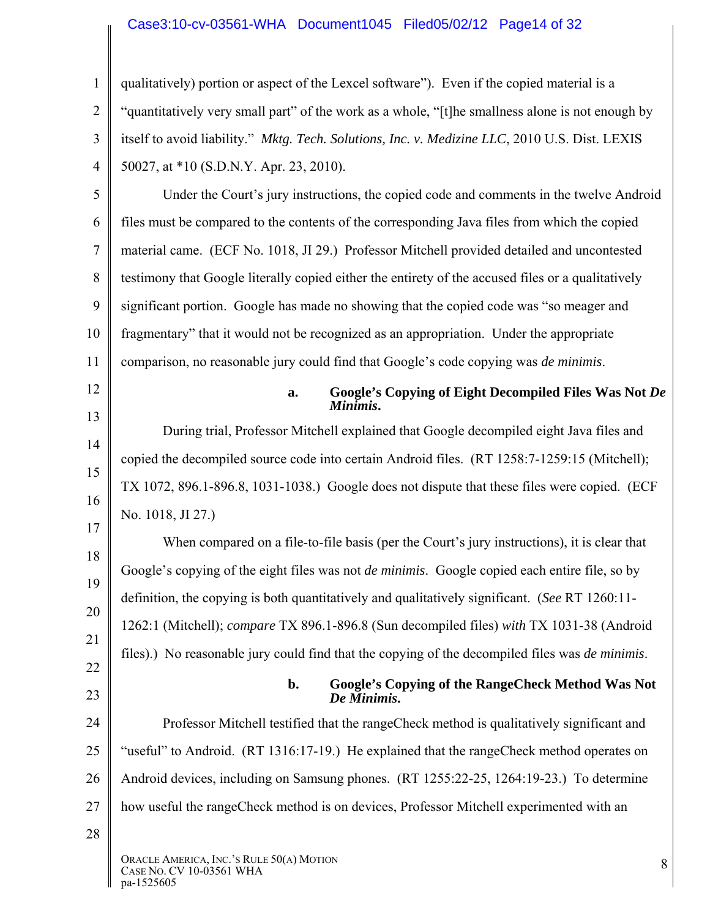#### Case3:10-cv-03561-WHA Document1045 Filed05/02/12 Page14 of 32

1 2 3 4 5 6 7 8 9 10 11 12 13 14 15 16 17 qualitatively) portion or aspect of the Lexcel software"). Even if the copied material is a "quantitatively very small part" of the work as a whole, "[t]he smallness alone is not enough by itself to avoid liability." *Mktg. Tech. Solutions, Inc. v. Medizine LLC*, 2010 U.S. Dist. LEXIS 50027, at \*10 (S.D.N.Y. Apr. 23, 2010). Under the Court's jury instructions, the copied code and comments in the twelve Android files must be compared to the contents of the corresponding Java files from which the copied material came. (ECF No. 1018, JI 29.) Professor Mitchell provided detailed and uncontested testimony that Google literally copied either the entirety of the accused files or a qualitatively significant portion. Google has made no showing that the copied code was "so meager and fragmentary" that it would not be recognized as an appropriation. Under the appropriate comparison, no reasonable jury could find that Google's code copying was *de minimis*. **a. Google's Copying of Eight Decompiled Files Was Not** *De Minimis***.**  During trial, Professor Mitchell explained that Google decompiled eight Java files and copied the decompiled source code into certain Android files. (RT 1258:7-1259:15 (Mitchell); TX 1072, 896.1-896.8, 1031-1038.) Google does not dispute that these files were copied. (ECF No. 1018, JI 27.)

18 19 20 21 When compared on a file-to-file basis (per the Court's jury instructions), it is clear that Google's copying of the eight files was not *de minimis*. Google copied each entire file, so by definition, the copying is both quantitatively and qualitatively significant. (*See* RT 1260:11- 1262:1 (Mitchell); *compare* TX 896.1-896.8 (Sun decompiled files) *with* TX 1031-38 (Android files).) No reasonable jury could find that the copying of the decompiled files was *de minimis*.

23

22

#### **b. Google's Copying of the RangeCheck Method Was Not**  *De Minimis***.**

24 25 26 27 Professor Mitchell testified that the rangeCheck method is qualitatively significant and "useful" to Android. (RT 1316:17-19.) He explained that the rangeCheck method operates on Android devices, including on Samsung phones. (RT 1255:22-25, 1264:19-23.) To determine how useful the rangeCheck method is on devices, Professor Mitchell experimented with an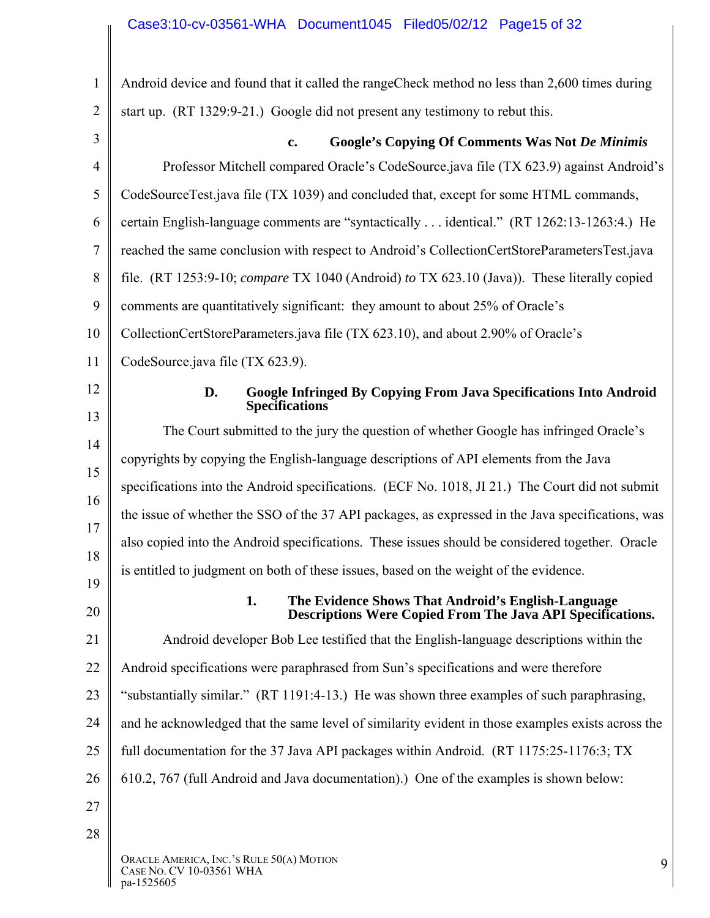| 1              | Android device and found that it called the range Check method no less than 2,600 times during                                |
|----------------|-------------------------------------------------------------------------------------------------------------------------------|
| $\overline{2}$ | start up. (RT 1329:9-21.) Google did not present any testimony to rebut this.                                                 |
| 3              | <b>Google's Copying Of Comments Was Not De Minimis</b><br>$\mathbf{c}$ .                                                      |
| $\overline{4}$ | Professor Mitchell compared Oracle's CodeSource.java file (TX 623.9) against Android's                                        |
| 5              | CodeSourceTest.java file (TX 1039) and concluded that, except for some HTML commands,                                         |
| 6              | certain English-language comments are "syntactically  identical." (RT 1262:13-1263:4.) He                                     |
| $\tau$         | reached the same conclusion with respect to Android's CollectionCertStoreParametersTest.java                                  |
| 8              | file. (RT 1253:9-10; compare TX 1040 (Android) to TX 623.10 (Java)). These literally copied                                   |
| 9              | comments are quantitatively significant: they amount to about 25% of Oracle's                                                 |
| 10             | CollectionCertStoreParameters.java file (TX 623.10), and about 2.90% of Oracle's                                              |
| 11             | CodeSource.java file (TX 623.9).                                                                                              |
| 12             | <b>Google Infringed By Copying From Java Specifications Into Android</b><br>D.<br><b>Specifications</b>                       |
| 13             | The Court submitted to the jury the question of whether Google has infringed Oracle's                                         |
| 14             | copyrights by copying the English-language descriptions of API elements from the Java                                         |
| 15             | specifications into the Android specifications. (ECF No. 1018, JI 21.) The Court did not submit                               |
| 16             | the issue of whether the SSO of the 37 API packages, as expressed in the Java specifications, was                             |
| 17             | also copied into the Android specifications. These issues should be considered together. Oracle                               |
| 18             | is entitled to judgment on both of these issues, based on the weight of the evidence.                                         |
| 19<br>20       | 1.<br>The Evidence Shows That Android's English-Language<br><b>Descriptions Were Copied From The Java API Specifications.</b> |
| 21             | Android developer Bob Lee testified that the English-language descriptions within the                                         |
| 22             | Android specifications were paraphrased from Sun's specifications and were therefore                                          |
| 23             | "substantially similar." (RT 1191:4-13.) He was shown three examples of such paraphrasing,                                    |
| 24             | and he acknowledged that the same level of similarity evident in those examples exists across the                             |
| 25             | full documentation for the 37 Java API packages within Android. (RT 1175:25-1176:3; TX                                        |
| 26             | 610.2, 767 (full Android and Java documentation).) One of the examples is shown below:                                        |
| 27             |                                                                                                                               |
| 28             |                                                                                                                               |
|                | ORACLE AMERICA, INC.'S RULE 50(A) MOTION<br>9<br>CASE NO. CV 10-03561 WHA<br>pa-1525605                                       |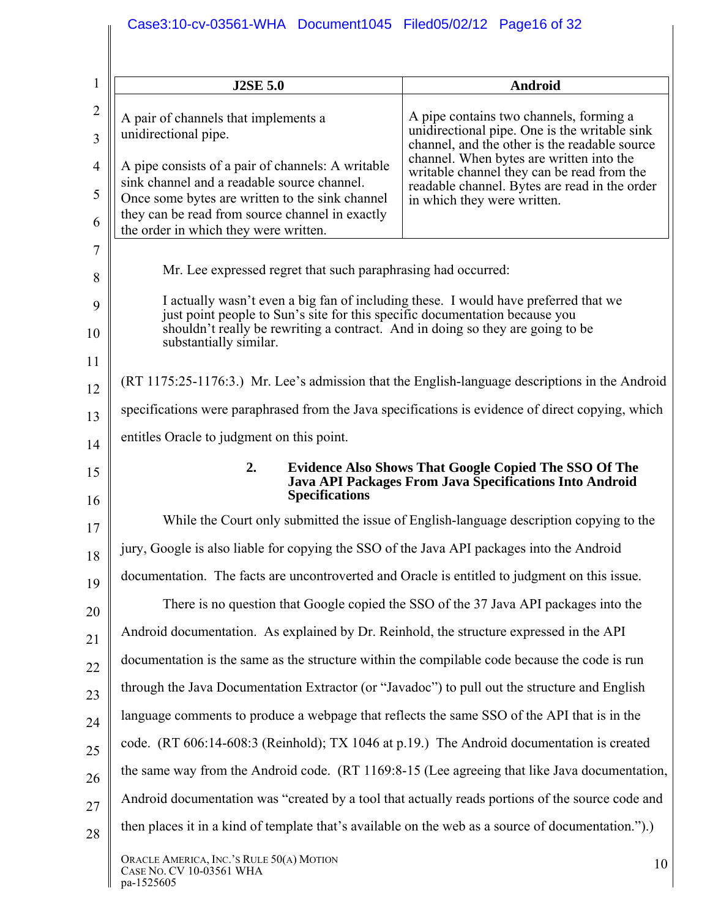| $\mathbf{1}$        | <b>J2SE 5.0</b>                                                                                                                                                    | Android                                                                                                                                   |
|---------------------|--------------------------------------------------------------------------------------------------------------------------------------------------------------------|-------------------------------------------------------------------------------------------------------------------------------------------|
| $\overline{2}$<br>3 | A pair of channels that implements a<br>unidirectional pipe.                                                                                                       | A pipe contains two channels, forming a<br>unidirectional pipe. One is the writable sink<br>channel, and the other is the readable source |
| $\overline{4}$      | A pipe consists of a pair of channels: A writable                                                                                                                  | channel. When bytes are written into the<br>writable channel they can be read from the                                                    |
| 5                   | sink channel and a readable source channel.<br>Once some bytes are written to the sink channel                                                                     | readable channel. Bytes are read in the order<br>in which they were written.                                                              |
| 6                   | they can be read from source channel in exactly<br>the order in which they were written.                                                                           |                                                                                                                                           |
| 7                   |                                                                                                                                                                    |                                                                                                                                           |
| 8                   | Mr. Lee expressed regret that such paraphrasing had occurred:                                                                                                      |                                                                                                                                           |
| 9                   | I actually wasn't even a big fan of including these. I would have preferred that we<br>just point people to Sun's site for this specific documentation because you |                                                                                                                                           |
| 10                  | shouldn't really be rewriting a contract. And in doing so they are going to be<br>substantially similar.                                                           |                                                                                                                                           |
| 11<br>12            | (RT 1175:25-1176:3.) Mr. Lee's admission that the English-language descriptions in the Android                                                                     |                                                                                                                                           |
| 13                  | specifications were paraphrased from the Java specifications is evidence of direct copying, which                                                                  |                                                                                                                                           |
| 14                  | entitles Oracle to judgment on this point.                                                                                                                         |                                                                                                                                           |
| 15                  | 2.<br><b>Specifications</b>                                                                                                                                        | <b>Evidence Also Shows That Google Copied The SSO Of The</b><br>Java API Packages From Java Specifications Into Android                   |
| 16<br>17            |                                                                                                                                                                    | While the Court only submitted the issue of English-language description copying to the                                                   |
| 18                  | jury, Google is also liable for copying the SSO of the Java API packages into the Android                                                                          |                                                                                                                                           |
| 19                  | documentation. The facts are uncontroverted and Oracle is entitled to judgment on this issue.                                                                      |                                                                                                                                           |
| 20                  |                                                                                                                                                                    | There is no question that Google copied the SSO of the 37 Java API packages into the                                                      |
| 21                  | Android documentation. As explained by Dr. Reinhold, the structure expressed in the API                                                                            |                                                                                                                                           |
| 22                  | documentation is the same as the structure within the compilable code because the code is run                                                                      |                                                                                                                                           |
| 23                  | through the Java Documentation Extractor (or "Javadoc") to pull out the structure and English                                                                      |                                                                                                                                           |
| 24                  | language comments to produce a webpage that reflects the same SSO of the API that is in the                                                                        |                                                                                                                                           |
| 25                  | code. (RT 606:14-608:3 (Reinhold); TX 1046 at p.19.) The Android documentation is created                                                                          |                                                                                                                                           |
| 26                  | the same way from the Android code. (RT 1169:8-15 (Lee agreeing that like Java documentation,                                                                      |                                                                                                                                           |
| 27                  | Android documentation was "created by a tool that actually reads portions of the source code and                                                                   |                                                                                                                                           |
| 28                  | then places it in a kind of template that's available on the web as a source of documentation.").)                                                                 |                                                                                                                                           |
|                     | ORACLE AMERICA, INC.'S RULE 50(A) MOTION<br>CASE NO. CV 10-03561 WHA<br>pa-1525605                                                                                 | 10                                                                                                                                        |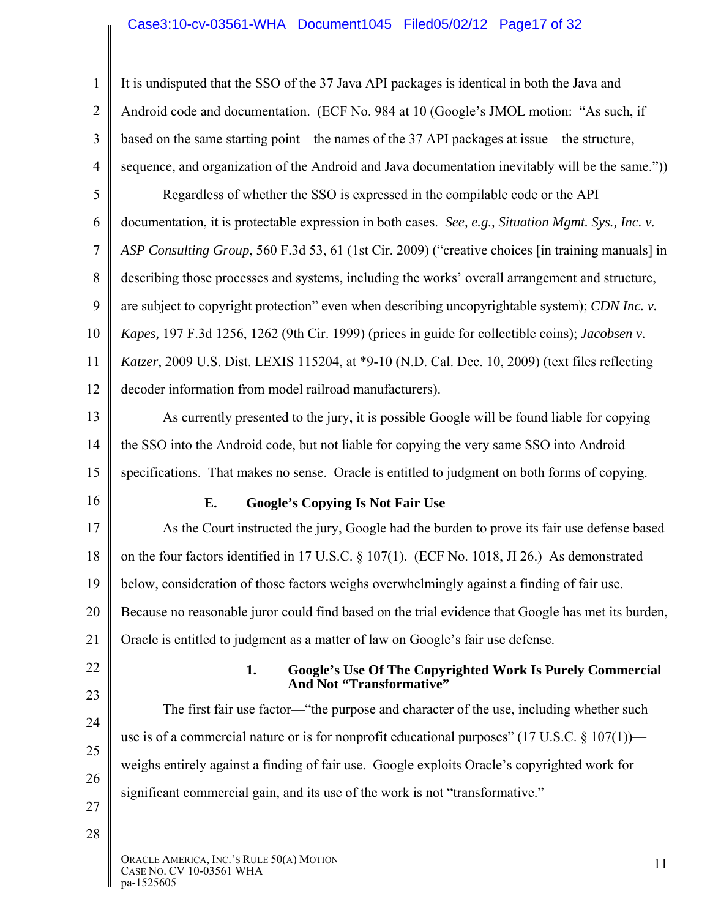# Case3:10-cv-03561-WHA Document1045 Filed05/02/12 Page17 of 32

| $\mathbf{1}$   | It is undisputed that the SSO of the 37 Java API packages is identical in both the Java and               |
|----------------|-----------------------------------------------------------------------------------------------------------|
| $\overline{2}$ | Android code and documentation. (ECF No. 984 at 10 (Google's JMOL motion: "As such, if                    |
| 3              | based on the same starting point – the names of the $37$ API packages at issue – the structure,           |
| $\overline{4}$ | sequence, and organization of the Android and Java documentation inevitably will be the same."))          |
| 5              | Regardless of whether the SSO is expressed in the compilable code or the API                              |
| 6              | documentation, it is protectable expression in both cases. See, e.g., Situation Mgmt. Sys., Inc. v.       |
| $\overline{7}$ | ASP Consulting Group, 560 F.3d 53, 61 (1st Cir. 2009) ("creative choices [in training manuals] in         |
| 8              | describing those processes and systems, including the works' overall arrangement and structure,           |
| 9              | are subject to copyright protection" even when describing uncopyrightable system); CDN Inc. v.            |
| 10             | Kapes, 197 F.3d 1256, 1262 (9th Cir. 1999) (prices in guide for collectible coins); Jacobsen v.           |
| 11             | Katzer, 2009 U.S. Dist. LEXIS 115204, at *9-10 (N.D. Cal. Dec. 10, 2009) (text files reflecting           |
| 12             | decoder information from model railroad manufacturers).                                                   |
| 13             | As currently presented to the jury, it is possible Google will be found liable for copying                |
| 14             | the SSO into the Android code, but not liable for copying the very same SSO into Android                  |
| 15             | specifications. That makes no sense. Oracle is entitled to judgment on both forms of copying.             |
| 16             | E.<br><b>Google's Copying Is Not Fair Use</b>                                                             |
| 17             | As the Court instructed the jury, Google had the burden to prove its fair use defense based               |
| 18             | on the four factors identified in 17 U.S.C. § 107(1). (ECF No. 1018, JI 26.) As demonstrated              |
| 19             | below, consideration of those factors weighs overwhelmingly against a finding of fair use.                |
| 20             | Because no reasonable juror could find based on the trial evidence that Google has met its burden,        |
| 21             | Oracle is entitled to judgment as a matter of law on Google's fair use defense.                           |
| 22             | 1.<br>Google's Use Of The Copyrighted Work Is Purely Commercial<br>And Not "Transformative"               |
| 23             | The first fair use factor—"the purpose and character of the use, including whether such                   |
|                |                                                                                                           |
| 24             | use is of a commercial nature or is for nonprofit educational purposes" $(17 \text{ U.S.C.} \$ 107(1))$ — |
| 25             | weighs entirely against a finding of fair use. Google exploits Oracle's copyrighted work for              |
| 26             | significant commercial gain, and its use of the work is not "transformative."                             |
| 27<br>28       |                                                                                                           |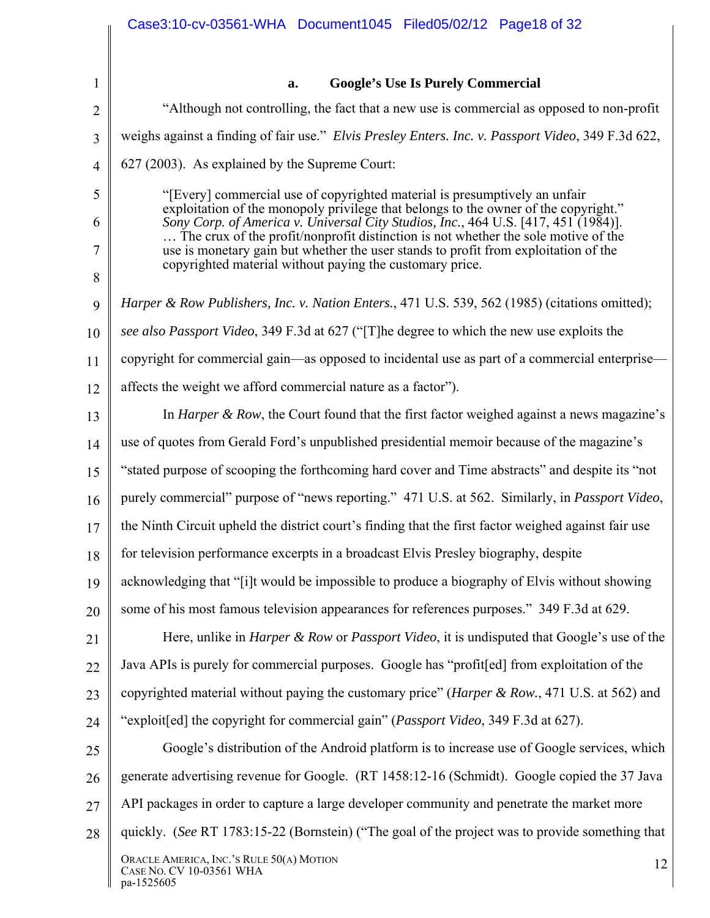|                | Case3:10-cv-03561-WHA Document1045 Filed05/02/12 Page18 of 32                                                                                                             |  |  |  |  |  |  |
|----------------|---------------------------------------------------------------------------------------------------------------------------------------------------------------------------|--|--|--|--|--|--|
|                |                                                                                                                                                                           |  |  |  |  |  |  |
| $\mathbf{1}$   | <b>Google's Use Is Purely Commercial</b><br>a.                                                                                                                            |  |  |  |  |  |  |
| $\overline{2}$ | "Although not controlling, the fact that a new use is commercial as opposed to non-profit                                                                                 |  |  |  |  |  |  |
| 3              | weighs against a finding of fair use." Elvis Presley Enters. Inc. v. Passport Video, 349 F.3d 622,                                                                        |  |  |  |  |  |  |
| $\overline{4}$ | 627 (2003). As explained by the Supreme Court:                                                                                                                            |  |  |  |  |  |  |
| 5              | "[Every] commercial use of copyrighted material is presumptively an unfair                                                                                                |  |  |  |  |  |  |
| 6              | exploitation of the monopoly privilege that belongs to the owner of the copyright."<br>Sony Corp. of America v. Universal City Studios, Inc., 464 U.S. [417, 451 (1984)]. |  |  |  |  |  |  |
| 7              | The crux of the profit/nonprofit distinction is not whether the sole motive of the<br>use is monetary gain but whether the user stands to profit from exploitation of the |  |  |  |  |  |  |
| 8              | copyrighted material without paying the customary price.                                                                                                                  |  |  |  |  |  |  |
| 9              | Harper & Row Publishers, Inc. v. Nation Enters., 471 U.S. 539, 562 (1985) (citations omitted);                                                                            |  |  |  |  |  |  |
| 10             | see also Passport Video, 349 F.3d at 627 ("The degree to which the new use exploits the                                                                                   |  |  |  |  |  |  |
| 11             | copyright for commercial gain—as opposed to incidental use as part of a commercial enterprise—                                                                            |  |  |  |  |  |  |
| 12             | affects the weight we afford commercial nature as a factor").                                                                                                             |  |  |  |  |  |  |
| 13             | In <i>Harper &amp; Row</i> , the Court found that the first factor weighed against a news magazine's                                                                      |  |  |  |  |  |  |
| 14             | use of quotes from Gerald Ford's unpublished presidential memoir because of the magazine's                                                                                |  |  |  |  |  |  |
| 15             | "stated purpose of scooping the forthcoming hard cover and Time abstracts" and despite its "not                                                                           |  |  |  |  |  |  |
| 16             | purely commercial" purpose of "news reporting." 471 U.S. at 562. Similarly, in Passport Video,                                                                            |  |  |  |  |  |  |
| 17             | the Ninth Circuit upheld the district court's finding that the first factor weighed against fair use                                                                      |  |  |  |  |  |  |
| 18             | for television performance excerpts in a broadcast Elvis Presley biography, despite                                                                                       |  |  |  |  |  |  |
| 19             | acknowledging that "[i]t would be impossible to produce a biography of Elvis without showing                                                                              |  |  |  |  |  |  |
| 20             | some of his most famous television appearances for references purposes." 349 F.3d at 629.                                                                                 |  |  |  |  |  |  |
| 21             | Here, unlike in <i>Harper &amp; Row</i> or <i>Passport Video</i> , it is undisputed that Google's use of the                                                              |  |  |  |  |  |  |
| 22             | Java APIs is purely for commercial purposes. Google has "profit [ed] from exploitation of the                                                                             |  |  |  |  |  |  |
| 23             | copyrighted material without paying the customary price" ( <i>Harper &amp; Row.</i> , 471 U.S. at 562) and                                                                |  |  |  |  |  |  |
| 24             | "exploit[ed] the copyright for commercial gain" (Passport Video, 349 F.3d at 627).                                                                                        |  |  |  |  |  |  |
| 25             | Google's distribution of the Android platform is to increase use of Google services, which                                                                                |  |  |  |  |  |  |
| 26             | generate advertising revenue for Google. (RT 1458:12-16 (Schmidt). Google copied the 37 Java                                                                              |  |  |  |  |  |  |
| 27             | API packages in order to capture a large developer community and penetrate the market more                                                                                |  |  |  |  |  |  |
| 28             | quickly. (See RT 1783:15-22 (Bornstein) ("The goal of the project was to provide something that                                                                           |  |  |  |  |  |  |
|                | ORACLE AMERICA, INC.'S RULE 50(A) MOTION<br>12<br>CASE NO. CV 10-03561 WHA<br>pa-1525605                                                                                  |  |  |  |  |  |  |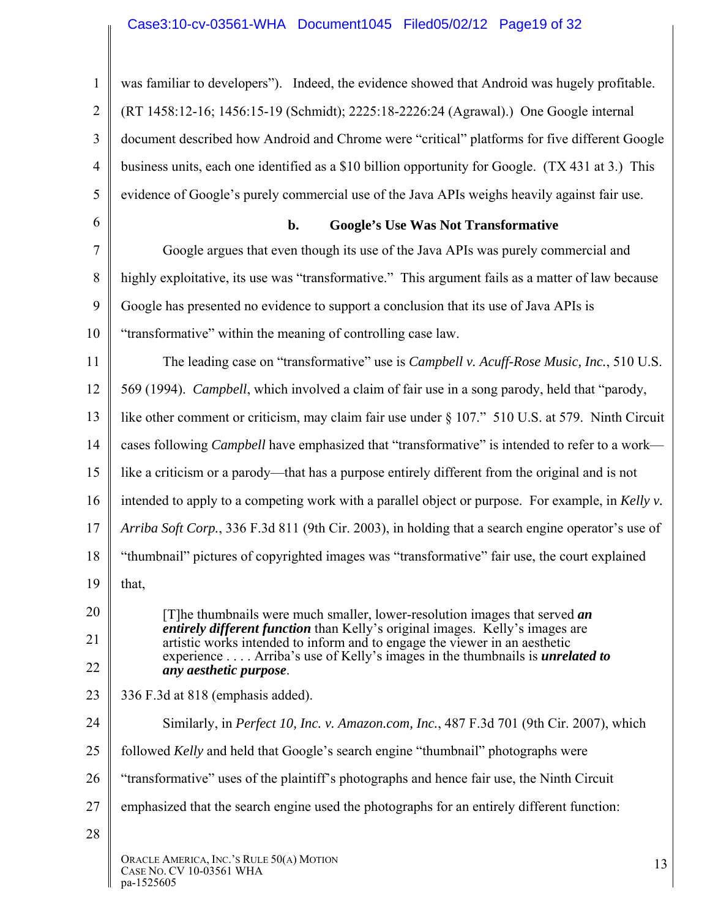# Case3:10-cv-03561-WHA Document1045 Filed05/02/12 Page19 of 32

| $\mathbf{1}$   | was familiar to developers"). Indeed, the evidence showed that Android was hugely profitable.                                                                     |  |  |  |
|----------------|-------------------------------------------------------------------------------------------------------------------------------------------------------------------|--|--|--|
| $\overline{2}$ | (RT 1458:12-16; 1456:15-19 (Schmidt); 2225:18-2226:24 (Agrawal).) One Google internal                                                                             |  |  |  |
| 3              | document described how Android and Chrome were "critical" platforms for five different Google                                                                     |  |  |  |
| $\overline{4}$ | business units, each one identified as a \$10 billion opportunity for Google. (TX 431 at 3.) This                                                                 |  |  |  |
| 5              | evidence of Google's purely commercial use of the Java APIs weighs heavily against fair use.                                                                      |  |  |  |
| 6              | <b>Google's Use Was Not Transformative</b><br>$b$ .                                                                                                               |  |  |  |
| 7              | Google argues that even though its use of the Java APIs was purely commercial and                                                                                 |  |  |  |
| 8              | highly exploitative, its use was "transformative." This argument fails as a matter of law because                                                                 |  |  |  |
| 9              | Google has presented no evidence to support a conclusion that its use of Java APIs is                                                                             |  |  |  |
| 10             | "transformative" within the meaning of controlling case law.                                                                                                      |  |  |  |
| 11             | The leading case on "transformative" use is <i>Campbell v. Acuff-Rose Music, Inc.</i> , 510 U.S.                                                                  |  |  |  |
| 12             | 569 (1994). Campbell, which involved a claim of fair use in a song parody, held that "parody,                                                                     |  |  |  |
| 13             | like other comment or criticism, may claim fair use under § 107." 510 U.S. at 579. Ninth Circuit                                                                  |  |  |  |
| 14             | cases following <i>Campbell</i> have emphasized that "transformative" is intended to refer to a work-                                                             |  |  |  |
| 15             | like a criticism or a parody—that has a purpose entirely different from the original and is not                                                                   |  |  |  |
| 16             | intended to apply to a competing work with a parallel object or purpose. For example, in Kelly v.                                                                 |  |  |  |
| 17             | Arriba Soft Corp., 336 F.3d 811 (9th Cir. 2003), in holding that a search engine operator's use of                                                                |  |  |  |
| 18             | "thumbnail" pictures of copyrighted images was "transformative" fair use, the court explained                                                                     |  |  |  |
| 19             | that,                                                                                                                                                             |  |  |  |
| 20             | [T] he thumbnails were much smaller, lower-resolution images that served an                                                                                       |  |  |  |
| 21             | <i>entirely different function</i> than Kelly's original images. Kelly's images are<br>artistic works intended to inform and to engage the viewer in an aesthetic |  |  |  |
| 22             | experience Arriba's use of Kelly's images in the thumbnails is <i>unrelated to</i><br>any aesthetic purpose.                                                      |  |  |  |
| 23             | 336 F.3d at 818 (emphasis added).                                                                                                                                 |  |  |  |
| 24             | Similarly, in <i>Perfect 10, Inc. v. Amazon.com, Inc.</i> , 487 F.3d 701 (9th Cir. 2007), which                                                                   |  |  |  |
| 25             | followed <i>Kelly</i> and held that Google's search engine "thumbnail" photographs were                                                                           |  |  |  |
| 26             | "transformative" uses of the plaintiff's photographs and hence fair use, the Ninth Circuit                                                                        |  |  |  |
| 27             | emphasized that the search engine used the photographs for an entirely different function:                                                                        |  |  |  |
| 28             |                                                                                                                                                                   |  |  |  |
|                | ORACLE AMERICA, INC.'S RULE 50(A) MOTION<br>13<br>CASE NO. CV 10-03561 WHA<br>pa-1525605                                                                          |  |  |  |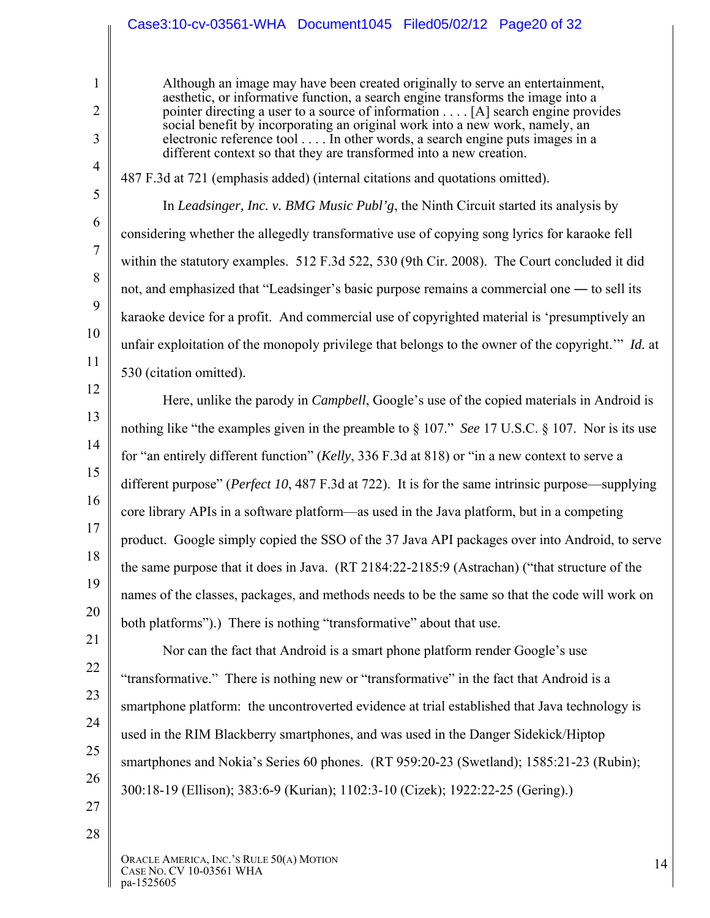#### Case3:10-cv-03561-WHA Document1045 Filed05/02/12 Page20 of 32

Although an image may have been created originally to serve an entertainment, aesthetic, or informative function, a search engine transforms the image into a pointer directing a user to a source of information . . . . [A] search engine provides social benefit by incorporating an original work into a new work, namely, an electronic reference tool . . . . In other words, a search engine puts images in a different context so that they are transformed into a new creation.

487 F.3d at 721 (emphasis added) (internal citations and quotations omitted).

In *Leadsinger, Inc. v. BMG Music Publ'g*, the Ninth Circuit started its analysis by considering whether the allegedly transformative use of copying song lyrics for karaoke fell within the statutory examples. 512 F.3d 522, 530 (9th Cir. 2008). The Court concluded it did not, and emphasized that "Leadsinger's basic purpose remains a commercial one ― to sell its karaoke device for a profit. And commercial use of copyrighted material is 'presumptively an unfair exploitation of the monopoly privilege that belongs to the owner of the copyright.'" *Id.* at 530 (citation omitted).

12 13

1

2

3

4

5

6

7

8

9

10

11

14 15 16 17 18 19 20 21 Here, unlike the parody in *Campbell*, Google's use of the copied materials in Android is nothing like "the examples given in the preamble to § 107." *See* 17 U.S.C. § 107. Nor is its use for "an entirely different function" (*Kelly*, 336 F.3d at 818) or "in a new context to serve a different purpose" (*Perfect 10*, 487 F.3d at 722). It is for the same intrinsic purpose—supplying core library APIs in a software platform—as used in the Java platform, but in a competing product. Google simply copied the SSO of the 37 Java API packages over into Android, to serve the same purpose that it does in Java. (RT 2184:22-2185:9 (Astrachan) ("that structure of the names of the classes, packages, and methods needs to be the same so that the code will work on both platforms").) There is nothing "transformative" about that use.

22 23 24 25 26 Nor can the fact that Android is a smart phone platform render Google's use "transformative." There is nothing new or "transformative" in the fact that Android is a smartphone platform: the uncontroverted evidence at trial established that Java technology is used in the RIM Blackberry smartphones, and was used in the Danger Sidekick/Hiptop smartphones and Nokia's Series 60 phones. (RT 959:20-23 (Swetland); 1585:21-23 (Rubin); 300:18-19 (Ellison); 383:6-9 (Kurian); 1102:3-10 (Cizek); 1922:22-25 (Gering).)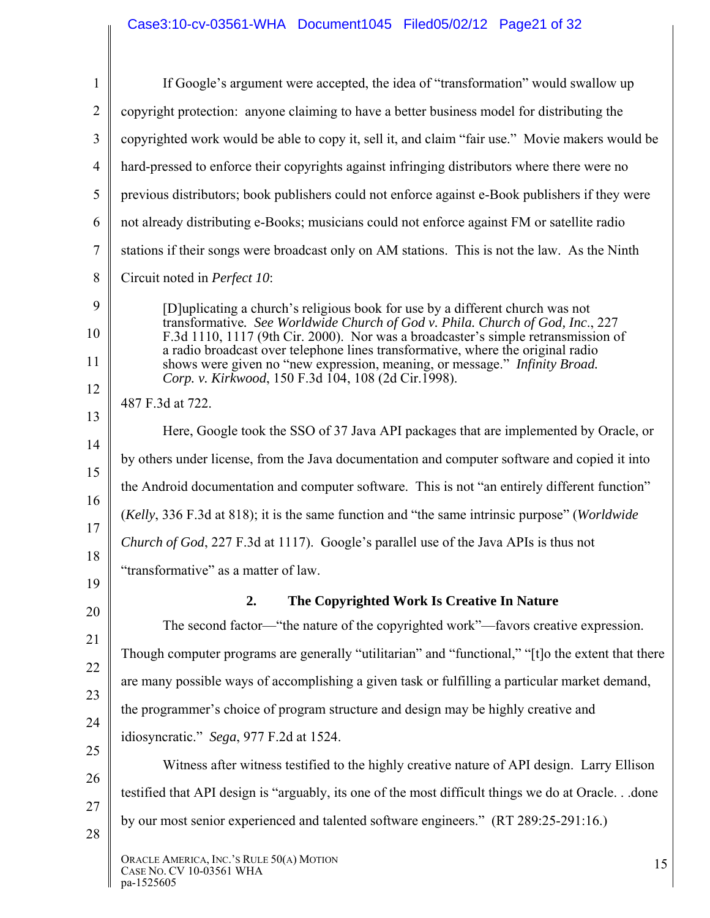## Case3:10-cv-03561-WHA Document1045 Filed05/02/12 Page21 of 32

| $\mathbf{1}$   | If Google's argument were accepted, the idea of "transformation" would swallow up                                                                                                                                                                  |  |  |  |  |
|----------------|----------------------------------------------------------------------------------------------------------------------------------------------------------------------------------------------------------------------------------------------------|--|--|--|--|
| $\overline{2}$ | copyright protection: anyone claiming to have a better business model for distributing the                                                                                                                                                         |  |  |  |  |
|                | copyrighted work would be able to copy it, sell it, and claim "fair use." Movie makers would be                                                                                                                                                    |  |  |  |  |
|                | hard-pressed to enforce their copyrights against infringing distributors where there were no                                                                                                                                                       |  |  |  |  |
|                | previous distributors; book publishers could not enforce against e-Book publishers if they were                                                                                                                                                    |  |  |  |  |
|                | not already distributing e-Books; musicians could not enforce against FM or satellite radio                                                                                                                                                        |  |  |  |  |
|                | stations if their songs were broadcast only on AM stations. This is not the law. As the Ninth                                                                                                                                                      |  |  |  |  |
|                | Circuit noted in Perfect 10:                                                                                                                                                                                                                       |  |  |  |  |
|                | [D] uplicating a church's religious book for use by a different church was not<br>transformative. See Worldwide Church of God v. Phila. Church of God, Inc., 227                                                                                   |  |  |  |  |
|                | F.3d 1110, 1117 (9th Cir. 2000). Nor was a broadcaster's simple retransmission of<br>a radio broadcast over telephone lines transformative, where the original radio<br>shows were given no "new expression, meaning, or message." Infinity Broad. |  |  |  |  |
|                | Corp. v. Kirkwood, 150 F.3d 104, 108 (2d Cir.1998).                                                                                                                                                                                                |  |  |  |  |
|                | 487 F.3d at 722.                                                                                                                                                                                                                                   |  |  |  |  |
|                | Here, Google took the SSO of 37 Java API packages that are implemented by Oracle, or                                                                                                                                                               |  |  |  |  |
|                | by others under license, from the Java documentation and computer software and copied it into                                                                                                                                                      |  |  |  |  |
|                | the Android documentation and computer software. This is not "an entirely different function"                                                                                                                                                      |  |  |  |  |
|                | (Kelly, 336 F.3d at 818); it is the same function and "the same intrinsic purpose" (Worldwide                                                                                                                                                      |  |  |  |  |
|                | <i>Church of God</i> , 227 F.3d at 1117). Google's parallel use of the Java APIs is thus not                                                                                                                                                       |  |  |  |  |
|                | "transformative" as a matter of law.                                                                                                                                                                                                               |  |  |  |  |
|                | 2.<br>The Copyrighted Work Is Creative In Nature                                                                                                                                                                                                   |  |  |  |  |
|                | The second factor—"the nature of the copyrighted work"—favors creative expression.                                                                                                                                                                 |  |  |  |  |
|                | Though computer programs are generally "utilitarian" and "functional," "[t] o the extent that there                                                                                                                                                |  |  |  |  |
|                | are many possible ways of accomplishing a given task or fulfilling a particular market demand,                                                                                                                                                     |  |  |  |  |
|                | the programmer's choice of program structure and design may be highly creative and                                                                                                                                                                 |  |  |  |  |
|                | idiosyncratic." Sega, 977 F.2d at 1524.                                                                                                                                                                                                            |  |  |  |  |
|                | Witness after witness testified to the highly creative nature of API design. Larry Ellison                                                                                                                                                         |  |  |  |  |
|                | testified that API design is "arguably, its one of the most difficult things we do at Oracle done                                                                                                                                                  |  |  |  |  |
|                | by our most senior experienced and talented software engineers." (RT 289:25-291:16.)                                                                                                                                                               |  |  |  |  |
|                | ORACLE AMERICA, INC.'S RULE 50(A) MOTION<br>15<br>CASE NO. CV 10-03561 WHA<br>pa-1525605                                                                                                                                                           |  |  |  |  |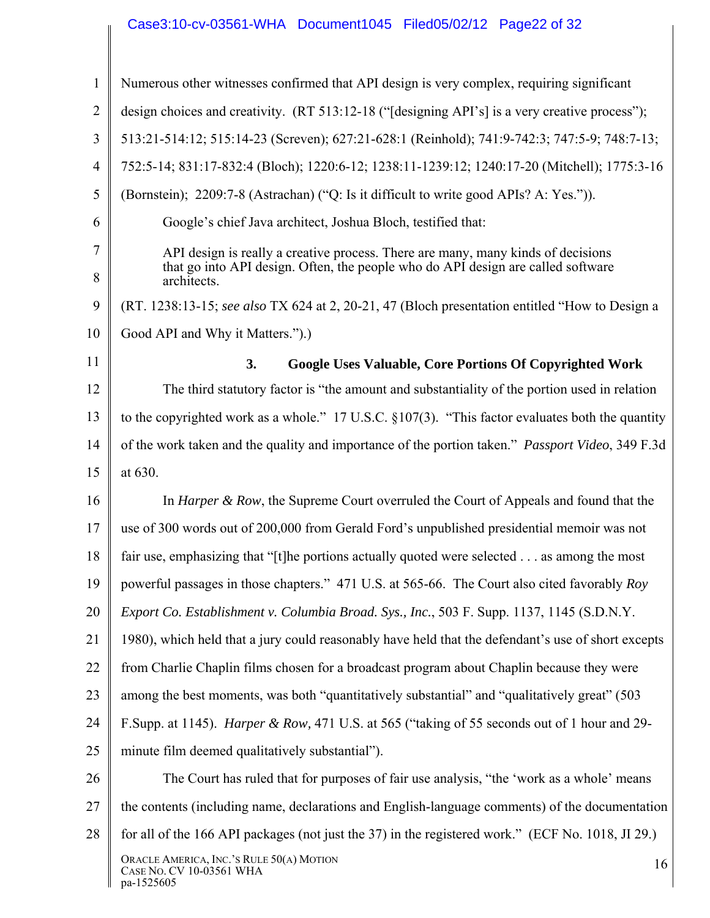## Case3:10-cv-03561-WHA Document1045 Filed05/02/12 Page22 of 32

| $\mathbf{1}$   | Numerous other witnesses confirmed that API design is very complex, requiring significant                                                                                           |  |  |  |  |
|----------------|-------------------------------------------------------------------------------------------------------------------------------------------------------------------------------------|--|--|--|--|
| $\overline{2}$ | design choices and creativity. (RT 513:12-18 ("[designing API's] is a very creative process");                                                                                      |  |  |  |  |
| 3              | 513:21-514:12; 515:14-23 (Screven); 627:21-628:1 (Reinhold); 741:9-742:3; 747:5-9; 748:7-13;                                                                                        |  |  |  |  |
| 4              | 752:5-14; 831:17-832:4 (Bloch); 1220:6-12; 1238:11-1239:12; 1240:17-20 (Mitchell); 1775:3-16                                                                                        |  |  |  |  |
| 5              | (Bornstein); 2209:7-8 (Astrachan) ("Q: Is it difficult to write good APIs? A: Yes.")).                                                                                              |  |  |  |  |
| 6              | Google's chief Java architect, Joshua Bloch, testified that:                                                                                                                        |  |  |  |  |
| 7<br>8         | API design is really a creative process. There are many, many kinds of decisions<br>that go into API design. Often, the people who do API design are called software<br>architects. |  |  |  |  |
| 9              | (RT. 1238:13-15; see also TX 624 at 2, 20-21, 47 (Bloch presentation entitled "How to Design a                                                                                      |  |  |  |  |
| 10             | Good API and Why it Matters.").)                                                                                                                                                    |  |  |  |  |
| 11             | <b>Google Uses Valuable, Core Portions Of Copyrighted Work</b><br>3.                                                                                                                |  |  |  |  |
| 12             | The third statutory factor is "the amount and substantiality of the portion used in relation                                                                                        |  |  |  |  |
| 13             | to the copyrighted work as a whole." 17 U.S.C. $\S 107(3)$ . "This factor evaluates both the quantity                                                                               |  |  |  |  |
| 14             | of the work taken and the quality and importance of the portion taken." <i>Passport Video</i> , 349 F.3d                                                                            |  |  |  |  |
| 15             | at 630.                                                                                                                                                                             |  |  |  |  |
| 16             | In <i>Harper &amp; Row</i> , the Supreme Court overruled the Court of Appeals and found that the                                                                                    |  |  |  |  |
| 17             | use of 300 words out of 200,000 from Gerald Ford's unpublished presidential memoir was not                                                                                          |  |  |  |  |
| 18             | fair use, emphasizing that "[t] he portions actually quoted were selected as among the most                                                                                         |  |  |  |  |
| 19             | powerful passages in those chapters." 471 U.S. at 565-66. The Court also cited favorably Roy                                                                                        |  |  |  |  |
| 20             | Export Co. Establishment v. Columbia Broad. Sys., Inc., 503 F. Supp. 1137, 1145 (S.D.N.Y.                                                                                           |  |  |  |  |
| 21             | 1980), which held that a jury could reasonably have held that the defendant's use of short excepts                                                                                  |  |  |  |  |
| 22             | from Charlie Chaplin films chosen for a broadcast program about Chaplin because they were                                                                                           |  |  |  |  |
| 23             | among the best moments, was both "quantitatively substantial" and "qualitatively great" (503)                                                                                       |  |  |  |  |
| 24             | F.Supp. at 1145). <i>Harper &amp; Row</i> , 471 U.S. at 565 ("taking of 55 seconds out of 1 hour and 29-                                                                            |  |  |  |  |
| 25             | minute film deemed qualitatively substantial").                                                                                                                                     |  |  |  |  |
| 26             | The Court has ruled that for purposes of fair use analysis, "the 'work as a whole' means                                                                                            |  |  |  |  |
| 27             | the contents (including name, declarations and English-language comments) of the documentation                                                                                      |  |  |  |  |
| 28             | for all of the 166 API packages (not just the 37) in the registered work." (ECF No. 1018, JI 29.)                                                                                   |  |  |  |  |
|                | ORACLE AMERICA, INC.'S RULE 50(A) MOTION<br>16<br>CASE NO. CV 10-03561 WHA<br>pa-1525605                                                                                            |  |  |  |  |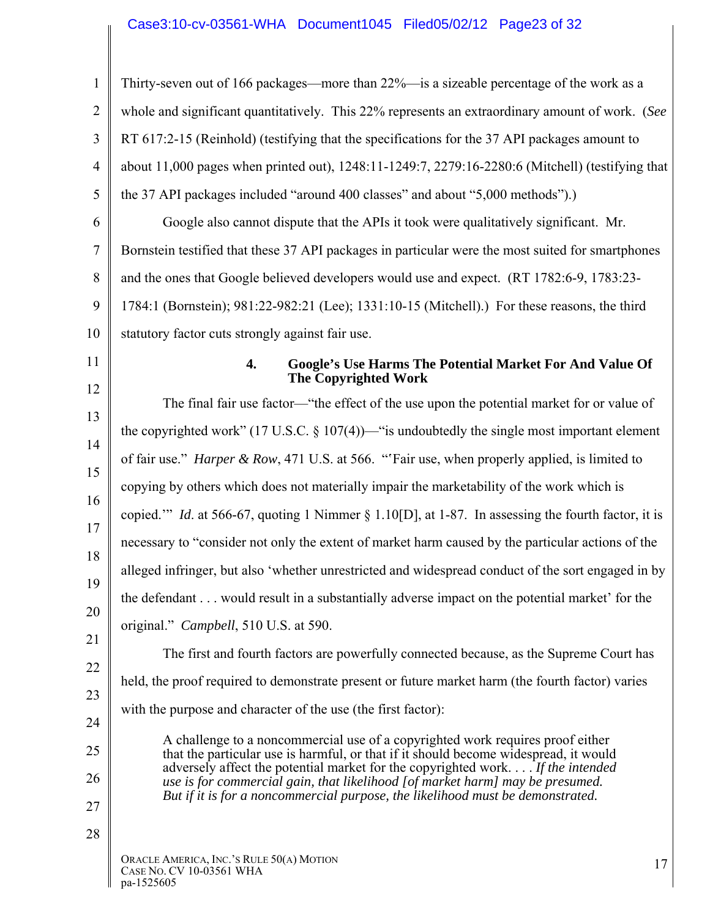# Case3:10-cv-03561-WHA Document1045 Filed05/02/12 Page23 of 32

| $\mathbf{1}$   | Thirty-seven out of 166 packages—more than 22%—is a sizeable percentage of the work as a                                                                               |  |  |  |  |  |
|----------------|------------------------------------------------------------------------------------------------------------------------------------------------------------------------|--|--|--|--|--|
| $\overline{2}$ | whole and significant quantitatively. This 22% represents an extraordinary amount of work. (See                                                                        |  |  |  |  |  |
| 3              | RT 617:2-15 (Reinhold) (testifying that the specifications for the 37 API packages amount to                                                                           |  |  |  |  |  |
| $\overline{4}$ | about 11,000 pages when printed out), 1248:11-1249:7, 2279:16-2280:6 (Mitchell) (testifying that                                                                       |  |  |  |  |  |
| 5              | the 37 API packages included "around 400 classes" and about "5,000 methods").)                                                                                         |  |  |  |  |  |
| 6              | Google also cannot dispute that the APIs it took were qualitatively significant. Mr.                                                                                   |  |  |  |  |  |
| $\overline{7}$ | Bornstein testified that these 37 API packages in particular were the most suited for smartphones                                                                      |  |  |  |  |  |
| 8              | and the ones that Google believed developers would use and expect. (RT 1782:6-9, 1783:23-                                                                              |  |  |  |  |  |
| 9              | 1784:1 (Bornstein); 981:22-982:21 (Lee); 1331:10-15 (Mitchell).) For these reasons, the third                                                                          |  |  |  |  |  |
| 10             | statutory factor cuts strongly against fair use.                                                                                                                       |  |  |  |  |  |
| 11             | <b>Google's Use Harms The Potential Market For And Value Of</b><br>4.<br><b>The Copyrighted Work</b>                                                                   |  |  |  |  |  |
| 12             | The final fair use factor—"the effect of the use upon the potential market for or value of                                                                             |  |  |  |  |  |
| 13             | the copyrighted work" (17 U.S.C. $\S$ 107(4))—" is undoubtedly the single most important element                                                                       |  |  |  |  |  |
| 14<br>15       | of fair use." Harper & Row, 471 U.S. at 566. "'Fair use, when properly applied, is limited to                                                                          |  |  |  |  |  |
| 16             | copying by others which does not materially impair the marketability of the work which is                                                                              |  |  |  |  |  |
| 17             | copied." <i>Id.</i> at 566-67, quoting 1 Nimmer § 1.10[D], at 1-87. In assessing the fourth factor, it is                                                              |  |  |  |  |  |
| 18             | necessary to "consider not only the extent of market harm caused by the particular actions of the                                                                      |  |  |  |  |  |
| 19             | alleged infringer, but also 'whether unrestricted and widespread conduct of the sort engaged in by                                                                     |  |  |  |  |  |
| 20             | the defendant would result in a substantially adverse impact on the potential market' for the                                                                          |  |  |  |  |  |
|                | original." Campbell, 510 U.S. at 590.                                                                                                                                  |  |  |  |  |  |
| 21             | The first and fourth factors are powerfully connected because, as the Supreme Court has                                                                                |  |  |  |  |  |
| 22<br>23       | held, the proof required to demonstrate present or future market harm (the fourth factor) varies                                                                       |  |  |  |  |  |
| 24             | with the purpose and character of the use (the first factor):                                                                                                          |  |  |  |  |  |
| 25             | A challenge to a noncommercial use of a copyrighted work requires proof either                                                                                         |  |  |  |  |  |
| 26             | that the particular use is harmful, or that if it should become widespread, it would<br>adversely affect the potential market for the copyrighted work If the intended |  |  |  |  |  |
| 27             | use is for commercial gain, that likelihood [of market harm] may be presumed.<br>But if it is for a noncommercial purpose, the likelihood must be demonstrated.        |  |  |  |  |  |
| 28             |                                                                                                                                                                        |  |  |  |  |  |
|                | ORACLE AMERICA, INC.'S RULE 50(A) MOTION<br>17<br>CASE NO. CV 10-03561 WHA<br>pa-1525605                                                                               |  |  |  |  |  |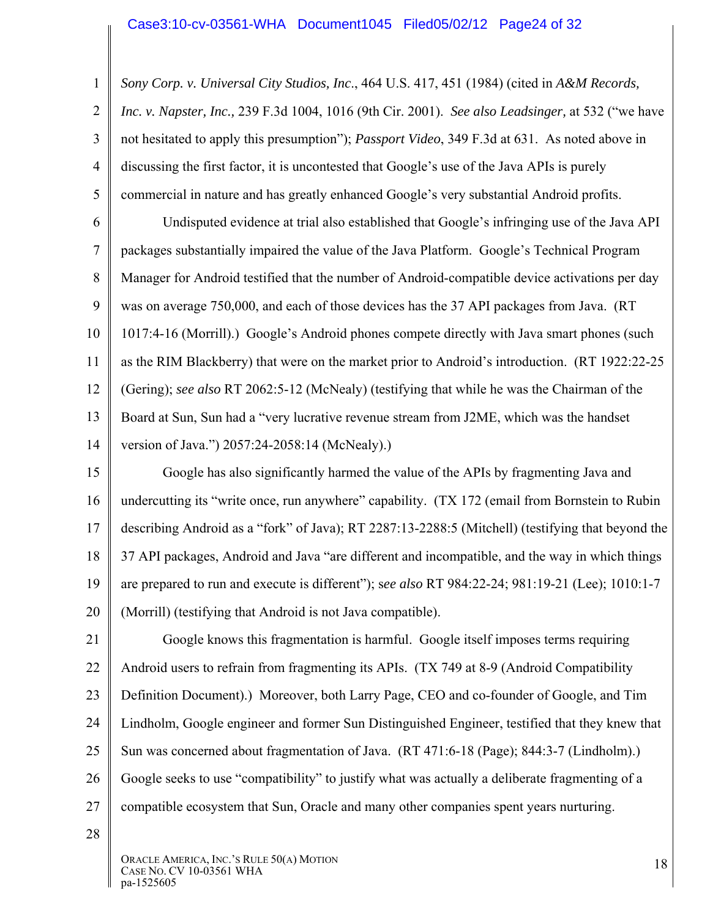1 2 3 4 5 *Sony Corp. v. Universal City Studios, Inc*., 464 U.S. 417, 451 (1984) (cited in *A&M Records, Inc. v. Napster, Inc.,* 239 F.3d 1004, 1016 (9th Cir. 2001). *See also Leadsinger,* at 532 ("we have not hesitated to apply this presumption"); *Passport Video*, 349 F.3d at 631. As noted above in discussing the first factor, it is uncontested that Google's use of the Java APIs is purely commercial in nature and has greatly enhanced Google's very substantial Android profits.

6 7 8 9 10 11 12 13 14 Undisputed evidence at trial also established that Google's infringing use of the Java API packages substantially impaired the value of the Java Platform. Google's Technical Program Manager for Android testified that the number of Android-compatible device activations per day was on average 750,000, and each of those devices has the 37 API packages from Java. (RT 1017:4-16 (Morrill).) Google's Android phones compete directly with Java smart phones (such as the RIM Blackberry) that were on the market prior to Android's introduction. (RT 1922:22-25 (Gering); *see also* RT 2062:5-12 (McNealy) (testifying that while he was the Chairman of the Board at Sun, Sun had a "very lucrative revenue stream from J2ME, which was the handset version of Java.") 2057:24-2058:14 (McNealy).)

15 16 17 18 19 20 Google has also significantly harmed the value of the APIs by fragmenting Java and undercutting its "write once, run anywhere" capability. (TX 172 (email from Bornstein to Rubin describing Android as a "fork" of Java); RT 2287:13-2288:5 (Mitchell) (testifying that beyond the 37 API packages, Android and Java "are different and incompatible, and the way in which things are prepared to run and execute is different"); s*ee also* RT 984:22-24; 981:19-21 (Lee); 1010:1-7 (Morrill) (testifying that Android is not Java compatible).

21 22 23 24 25 26 27 Google knows this fragmentation is harmful. Google itself imposes terms requiring Android users to refrain from fragmenting its APIs. (TX 749 at 8-9 (Android Compatibility Definition Document).) Moreover, both Larry Page, CEO and co-founder of Google, and Tim Lindholm, Google engineer and former Sun Distinguished Engineer, testified that they knew that Sun was concerned about fragmentation of Java. (RT 471:6-18 (Page); 844:3-7 (Lindholm).) Google seeks to use "compatibility" to justify what was actually a deliberate fragmenting of a compatible ecosystem that Sun, Oracle and many other companies spent years nurturing.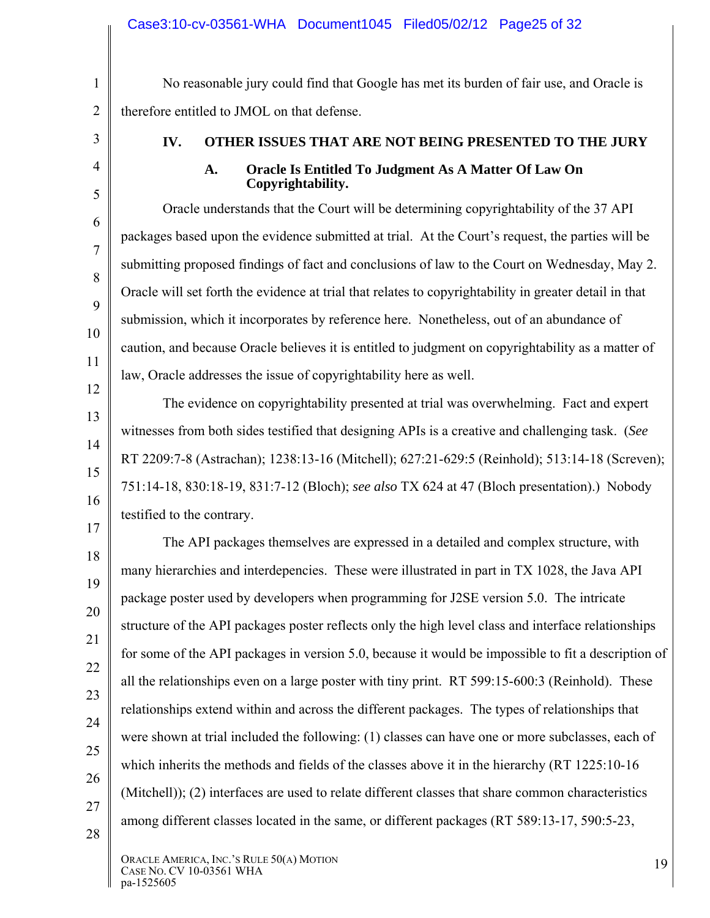No reasonable jury could find that Google has met its burden of fair use, and Oracle is therefore entitled to JMOL on that defense.

1

2

3

4

5

6

7

8

9

10

11

12

13

14

15

16

17

## **IV. OTHER ISSUES THAT ARE NOT BEING PRESENTED TO THE JURY**

#### **A. Oracle Is Entitled To Judgment As A Matter Of Law On Copyrightability.**

Oracle understands that the Court will be determining copyrightability of the 37 API packages based upon the evidence submitted at trial. At the Court's request, the parties will be submitting proposed findings of fact and conclusions of law to the Court on Wednesday, May 2. Oracle will set forth the evidence at trial that relates to copyrightability in greater detail in that submission, which it incorporates by reference here. Nonetheless, out of an abundance of caution, and because Oracle believes it is entitled to judgment on copyrightability as a matter of law, Oracle addresses the issue of copyrightability here as well.

The evidence on copyrightability presented at trial was overwhelming. Fact and expert witnesses from both sides testified that designing APIs is a creative and challenging task. (*See*  RT 2209:7-8 (Astrachan); 1238:13-16 (Mitchell); 627:21-629:5 (Reinhold); 513:14-18 (Screven); 751:14-18, 830:18-19, 831:7-12 (Bloch); *see also* TX 624 at 47 (Bloch presentation).) Nobody testified to the contrary.

18 19 20 21 22 23 24 25 26 27 28 The API packages themselves are expressed in a detailed and complex structure, with many hierarchies and interdepencies. These were illustrated in part in TX 1028, the Java API package poster used by developers when programming for J2SE version 5.0. The intricate structure of the API packages poster reflects only the high level class and interface relationships for some of the API packages in version 5.0, because it would be impossible to fit a description of all the relationships even on a large poster with tiny print. RT 599:15-600:3 (Reinhold). These relationships extend within and across the different packages. The types of relationships that were shown at trial included the following: (1) classes can have one or more subclasses, each of which inherits the methods and fields of the classes above it in the hierarchy (RT 1225:10-16 (Mitchell)); (2) interfaces are used to relate different classes that share common characteristics among different classes located in the same, or different packages (RT 589:13-17, 590:5-23,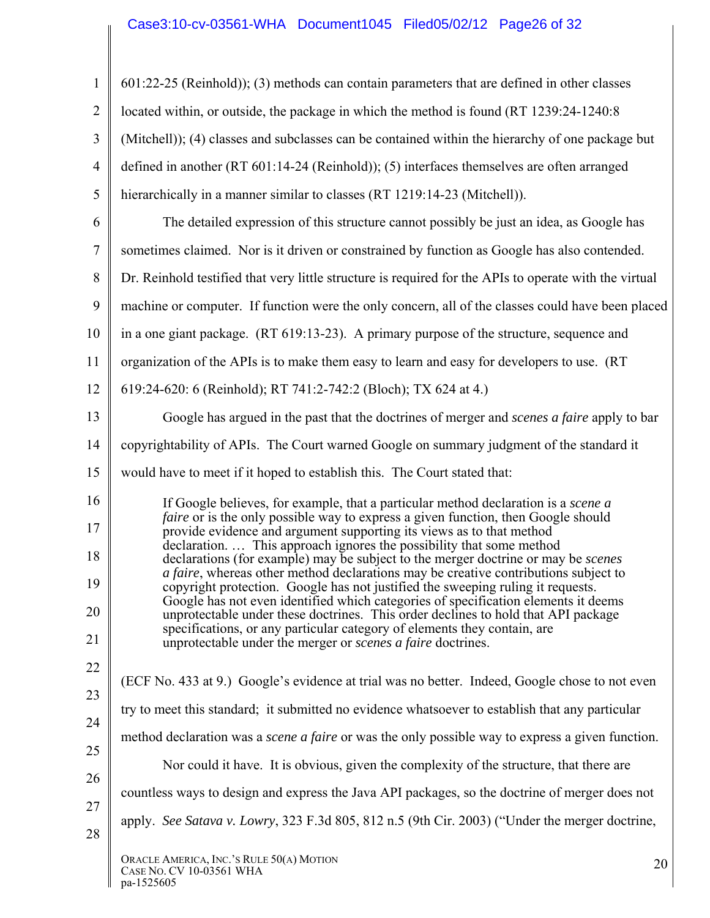## Case3:10-cv-03561-WHA Document1045 Filed05/02/12 Page26 of 32

| $\mathbf{1}$   | 601:22-25 (Reinhold)); (3) methods can contain parameters that are defined in other classes                                                                             |  |  |  |
|----------------|-------------------------------------------------------------------------------------------------------------------------------------------------------------------------|--|--|--|
| $\overline{2}$ | located within, or outside, the package in which the method is found (RT 1239:24-1240:8)                                                                                |  |  |  |
| 3              | (Mitchell)); (4) classes and subclasses can be contained within the hierarchy of one package but                                                                        |  |  |  |
| $\overline{4}$ | defined in another (RT 601:14-24 (Reinhold)); (5) interfaces themselves are often arranged                                                                              |  |  |  |
| 5              | hierarchically in a manner similar to classes (RT 1219:14-23 (Mitchell)).                                                                                               |  |  |  |
| 6              | The detailed expression of this structure cannot possibly be just an idea, as Google has                                                                                |  |  |  |
| $\tau$         | sometimes claimed. Nor is it driven or constrained by function as Google has also contended.                                                                            |  |  |  |
| 8              | Dr. Reinhold testified that very little structure is required for the APIs to operate with the virtual                                                                  |  |  |  |
| 9              | machine or computer. If function were the only concern, all of the classes could have been placed                                                                       |  |  |  |
| 10             | in a one giant package. (RT 619:13-23). A primary purpose of the structure, sequence and                                                                                |  |  |  |
| 11             | organization of the APIs is to make them easy to learn and easy for developers to use. (RT                                                                              |  |  |  |
| 12             | 619:24-620: 6 (Reinhold); RT 741:2-742:2 (Bloch); TX 624 at 4.)                                                                                                         |  |  |  |
| 13             | Google has argued in the past that the doctrines of merger and <i>scenes a faire</i> apply to bar                                                                       |  |  |  |
| 14             | copyrightability of APIs. The Court warned Google on summary judgment of the standard it                                                                                |  |  |  |
| 15             | would have to meet if it hoped to establish this. The Court stated that:                                                                                                |  |  |  |
| 16             | If Google believes, for example, that a particular method declaration is a <i>scene a</i>                                                                               |  |  |  |
| 17             | faire or is the only possible way to express a given function, then Google should<br>provide evidence and argument supporting its views as to that method               |  |  |  |
| 18             | declaration This approach ignores the possibility that some method<br>declarations (for example) may be subject to the merger doctrine or may be <i>scenes</i>          |  |  |  |
| 19             | a faire, whereas other method declarations may be creative contributions subject to<br>copyright protection. Google has not justified the sweeping ruling it requests.  |  |  |  |
| 20             | Google has not even identified which categories of specification elements it deems<br>unprotectable under these doctrines. This order declines to hold that API package |  |  |  |
| 21             | specifications, or any particular category of elements they contain, are<br>unprotectable under the merger or <i>scenes a faire</i> doctrines.                          |  |  |  |
| 22             | (ECF No. 433 at 9.) Google's evidence at trial was no better. Indeed, Google chose to not even                                                                          |  |  |  |
| 23             | try to meet this standard; it submitted no evidence whatsoever to establish that any particular                                                                         |  |  |  |
| 24             | method declaration was a <i>scene a faire</i> or was the only possible way to express a given function.                                                                 |  |  |  |
| 25             | Nor could it have. It is obvious, given the complexity of the structure, that there are                                                                                 |  |  |  |
| 26             | countless ways to design and express the Java API packages, so the doctrine of merger does not                                                                          |  |  |  |
| 27             | apply. See Satava v. Lowry, 323 F.3d 805, 812 n.5 (9th Cir. 2003) ("Under the merger doctrine,                                                                          |  |  |  |
| 28             |                                                                                                                                                                         |  |  |  |
|                | ORACLE AMERICA, INC.'S RULE 50(A) MOTION<br>20<br>CASE NO. CV 10-03561 WHA<br>pa-1525605                                                                                |  |  |  |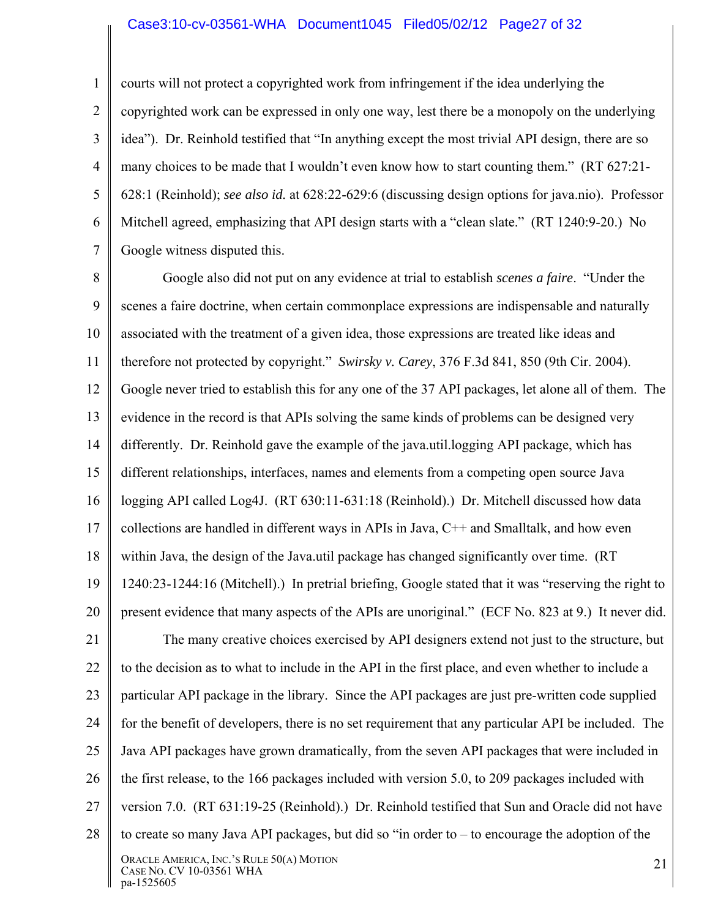#### Case3:10-cv-03561-WHA Document1045 Filed05/02/12 Page27 of 32

1 2 3 4 5 6 7 courts will not protect a copyrighted work from infringement if the idea underlying the copyrighted work can be expressed in only one way, lest there be a monopoly on the underlying idea"). Dr. Reinhold testified that "In anything except the most trivial API design, there are so many choices to be made that I wouldn't even know how to start counting them." (RT 627:21- 628:1 (Reinhold); *see also id.* at 628:22-629:6 (discussing design options for java.nio). Professor Mitchell agreed, emphasizing that API design starts with a "clean slate." (RT 1240:9-20.) No Google witness disputed this.

8 9 10 11 12 13 14 15 16 17 18 19 20 21 22 23 24 25 26 27 28 ORACLE AMERICA, INC.'S RULE 50(A) MOTION ORACLE AMERICA, INC. S RULE 50(A) MOTION<br>CASE NO. CV 10-03561 WHA 21 Google also did not put on any evidence at trial to establish *scenes a faire*. "Under the scenes a faire doctrine, when certain commonplace expressions are indispensable and naturally associated with the treatment of a given idea, those expressions are treated like ideas and therefore not protected by copyright." *Swirsky v. Carey*, 376 F.3d 841, 850 (9th Cir. 2004). Google never tried to establish this for any one of the 37 API packages, let alone all of them. The evidence in the record is that APIs solving the same kinds of problems can be designed very differently. Dr. Reinhold gave the example of the java.util.logging API package, which has different relationships, interfaces, names and elements from a competing open source Java logging API called Log4J. (RT 630:11-631:18 (Reinhold).) Dr. Mitchell discussed how data collections are handled in different ways in APIs in Java, C++ and Smalltalk, and how even within Java, the design of the Java.util package has changed significantly over time. (RT 1240:23-1244:16 (Mitchell).) In pretrial briefing, Google stated that it was "reserving the right to present evidence that many aspects of the APIs are unoriginal." (ECF No. 823 at 9.) It never did. The many creative choices exercised by API designers extend not just to the structure, but to the decision as to what to include in the API in the first place, and even whether to include a particular API package in the library. Since the API packages are just pre-written code supplied for the benefit of developers, there is no set requirement that any particular API be included. The Java API packages have grown dramatically, from the seven API packages that were included in the first release, to the 166 packages included with version 5.0, to 209 packages included with version 7.0. (RT 631:19-25 (Reinhold).) Dr. Reinhold testified that Sun and Oracle did not have to create so many Java API packages, but did so "in order to – to encourage the adoption of the

pa-1525605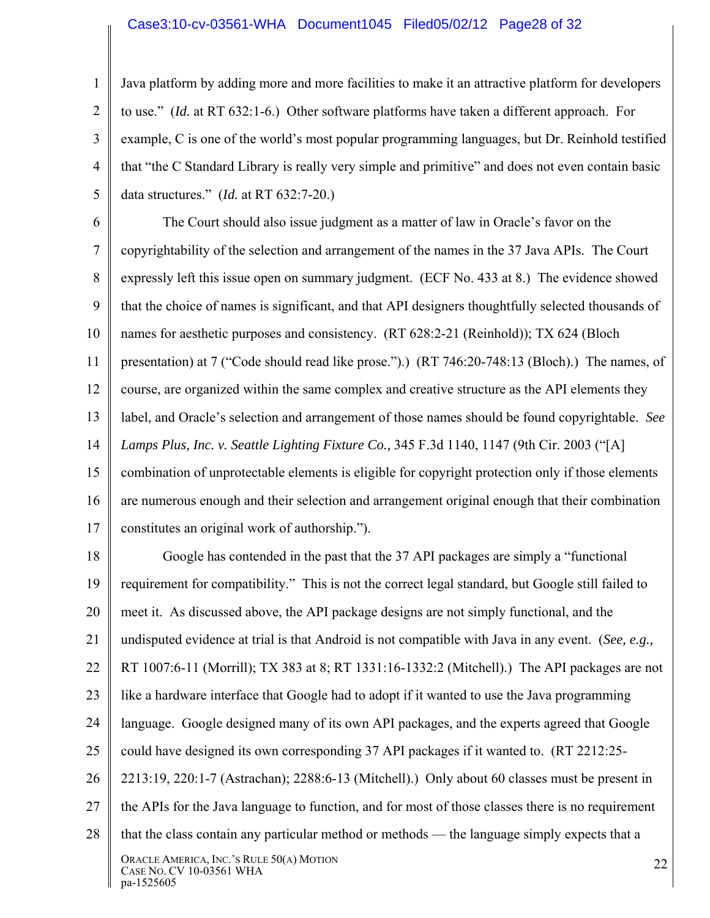#### Case3:10-cv-03561-WHA Document1045 Filed05/02/12 Page28 of 32

1 2 3 4 5 Java platform by adding more and more facilities to make it an attractive platform for developers to use." (*Id.* at RT 632:1-6.) Other software platforms have taken a different approach. For example, C is one of the world's most popular programming languages, but Dr. Reinhold testified that "the C Standard Library is really very simple and primitive" and does not even contain basic data structures." (*Id.* at RT 632:7-20.)

6 7 8 9 10 11 12 13 14 15 16 17 The Court should also issue judgment as a matter of law in Oracle's favor on the copyrightability of the selection and arrangement of the names in the 37 Java APIs. The Court expressly left this issue open on summary judgment. (ECF No. 433 at 8.) The evidence showed that the choice of names is significant, and that API designers thoughtfully selected thousands of names for aesthetic purposes and consistency. (RT 628:2-21 (Reinhold)); TX 624 (Bloch presentation) at 7 ("Code should read like prose.").) (RT 746:20-748:13 (Bloch).) The names, of course, are organized within the same complex and creative structure as the API elements they label, and Oracle's selection and arrangement of those names should be found copyrightable. *See Lamps Plus, Inc. v. Seattle Lighting Fixture Co.,* 345 F.3d 1140, 1147 (9th Cir. 2003 ("[A] combination of unprotectable elements is eligible for copyright protection only if those elements are numerous enough and their selection and arrangement original enough that their combination constitutes an original work of authorship.").

18 19 20 21 22 23 24 25 26 27 28 ORACLE AMERICA, INC.'S RULE 50(A) MOTION ORACLE AMERICA, INC. S RULE 50(A) MOTION<br>CASE NO. CV 10-03561 WHA pa-1525605 Google has contended in the past that the 37 API packages are simply a "functional requirement for compatibility." This is not the correct legal standard, but Google still failed to meet it. As discussed above, the API package designs are not simply functional, and the undisputed evidence at trial is that Android is not compatible with Java in any event. (*See, e.g.,*  RT 1007:6-11 (Morrill); TX 383 at 8; RT 1331:16-1332:2 (Mitchell).) The API packages are not like a hardware interface that Google had to adopt if it wanted to use the Java programming language. Google designed many of its own API packages, and the experts agreed that Google could have designed its own corresponding 37 API packages if it wanted to. (RT 2212:25- 2213:19, 220:1-7 (Astrachan); 2288:6-13 (Mitchell).) Only about 60 classes must be present in the APIs for the Java language to function, and for most of those classes there is no requirement that the class contain any particular method or methods — the language simply expects that a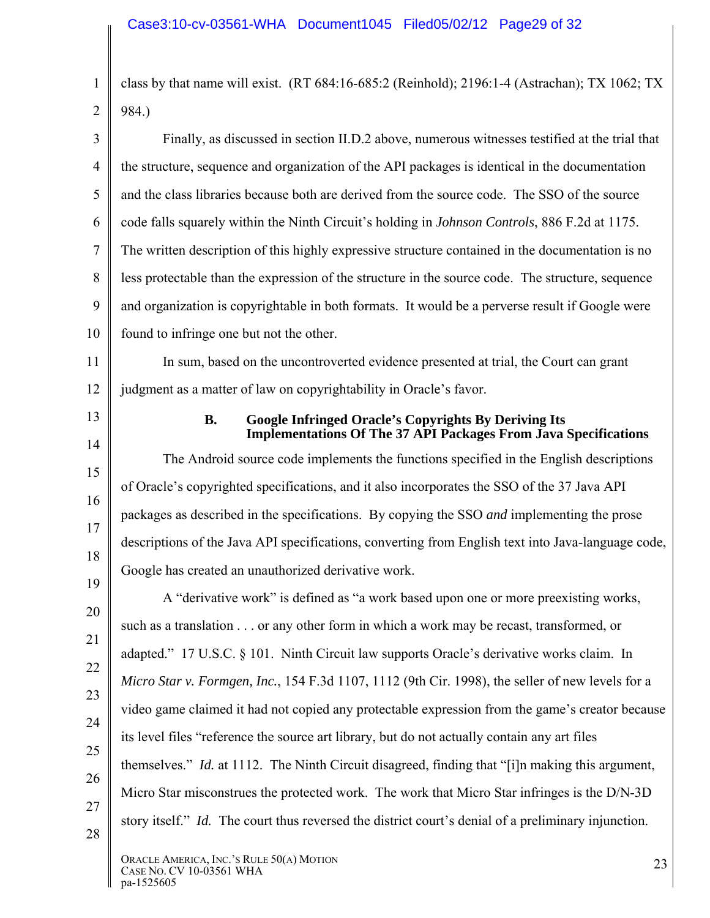1 2 class by that name will exist. (RT 684:16-685:2 (Reinhold); 2196:1-4 (Astrachan); TX 1062; TX 984.)

3 4 5 6 7 8 9 10 Finally, as discussed in section II.D.2 above, numerous witnesses testified at the trial that the structure, sequence and organization of the API packages is identical in the documentation and the class libraries because both are derived from the source code. The SSO of the source code falls squarely within the Ninth Circuit's holding in *Johnson Controls*, 886 F.2d at 1175. The written description of this highly expressive structure contained in the documentation is no less protectable than the expression of the structure in the source code. The structure, sequence and organization is copyrightable in both formats. It would be a perverse result if Google were found to infringe one but not the other.

11 12 In sum, based on the uncontroverted evidence presented at trial, the Court can grant judgment as a matter of law on copyrightability in Oracle's favor.

13

14

15

16

17

18

19

#### **B. Google Infringed Oracle's Copyrights By Deriving Its Implementations Of The 37 API Packages From Java Specifications**

The Android source code implements the functions specified in the English descriptions of Oracle's copyrighted specifications, and it also incorporates the SSO of the 37 Java API packages as described in the specifications. By copying the SSO *and* implementing the prose descriptions of the Java API specifications, converting from English text into Java-language code, Google has created an unauthorized derivative work.

20 21 22 23 24 25 26 27 28 A "derivative work" is defined as "a work based upon one or more preexisting works, such as a translation . . . or any other form in which a work may be recast, transformed, or adapted." 17 U.S.C. § 101. Ninth Circuit law supports Oracle's derivative works claim. In *Micro Star v. Formgen, Inc.*, 154 F.3d 1107, 1112 (9th Cir. 1998), the seller of new levels for a video game claimed it had not copied any protectable expression from the game's creator because its level files "reference the source art library, but do not actually contain any art files themselves." *Id.* at 1112. The Ninth Circuit disagreed, finding that "[i]n making this argument, Micro Star misconstrues the protected work. The work that Micro Star infringes is the D/N-3D story itself." *Id.* The court thus reversed the district court's denial of a preliminary injunction.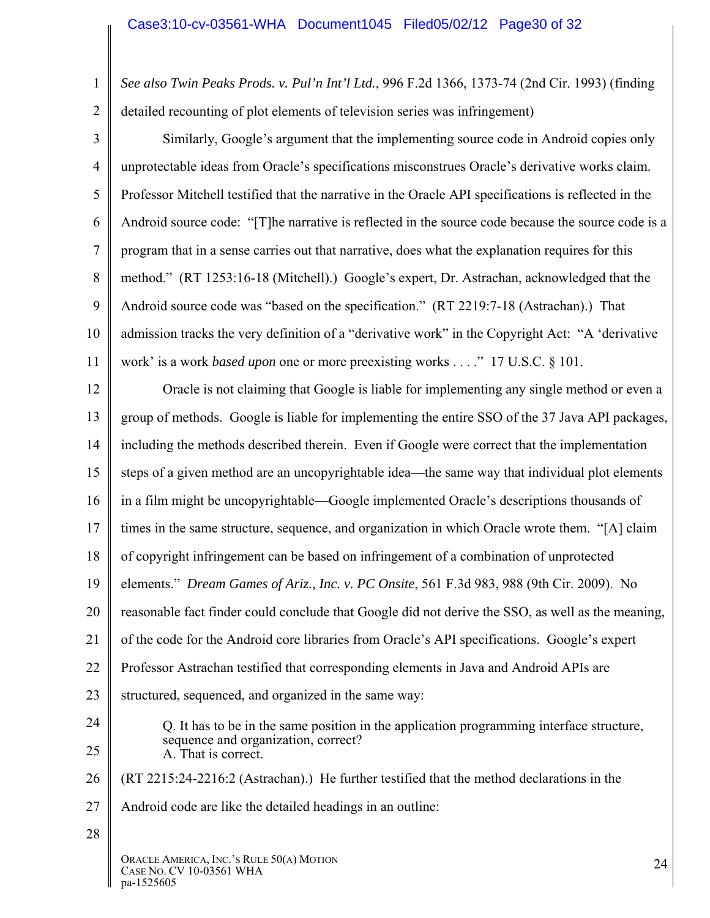1 2 *See also Twin Peaks Prods. v. Pul'n Int'l Ltd.*, 996 F.2d 1366, 1373-74 (2nd Cir. 1993) (finding detailed recounting of plot elements of television series was infringement)

3 4 5 6 7 8 9 10 11 Similarly, Google's argument that the implementing source code in Android copies only unprotectable ideas from Oracle's specifications misconstrues Oracle's derivative works claim. Professor Mitchell testified that the narrative in the Oracle API specifications is reflected in the Android source code: "[T]he narrative is reflected in the source code because the source code is a program that in a sense carries out that narrative, does what the explanation requires for this method." (RT 1253:16-18 (Mitchell).) Google's expert, Dr. Astrachan, acknowledged that the Android source code was "based on the specification." (RT 2219:7-18 (Astrachan).) That admission tracks the very definition of a "derivative work" in the Copyright Act: "A 'derivative work' is a work *based upon* one or more preexisting works . . . ." 17 U.S.C. § 101.

12 13 14 15 16 17 18 19 20 21 22 23 24 25 26 27 28 ORACLE AMERICA, INC.'S RULE 50(A) MOTION Oracle is not claiming that Google is liable for implementing any single method or even a group of methods. Google is liable for implementing the entire SSO of the 37 Java API packages, including the methods described therein. Even if Google were correct that the implementation steps of a given method are an uncopyrightable idea—the same way that individual plot elements in a film might be uncopyrightable—Google implemented Oracle's descriptions thousands of times in the same structure, sequence, and organization in which Oracle wrote them. "[A] claim of copyright infringement can be based on infringement of a combination of unprotected elements." *Dream Games of Ariz., Inc. v. PC Onsite*, 561 F.3d 983, 988 (9th Cir. 2009). No reasonable fact finder could conclude that Google did not derive the SSO, as well as the meaning, of the code for the Android core libraries from Oracle's API specifications. Google's expert Professor Astrachan testified that corresponding elements in Java and Android APIs are structured, sequenced, and organized in the same way: Q. It has to be in the same position in the application programming interface structure, sequence and organization, correct? A. That is correct. (RT 2215:24-2216:2 (Astrachan).) He further testified that the method declarations in the Android code are like the detailed headings in an outline: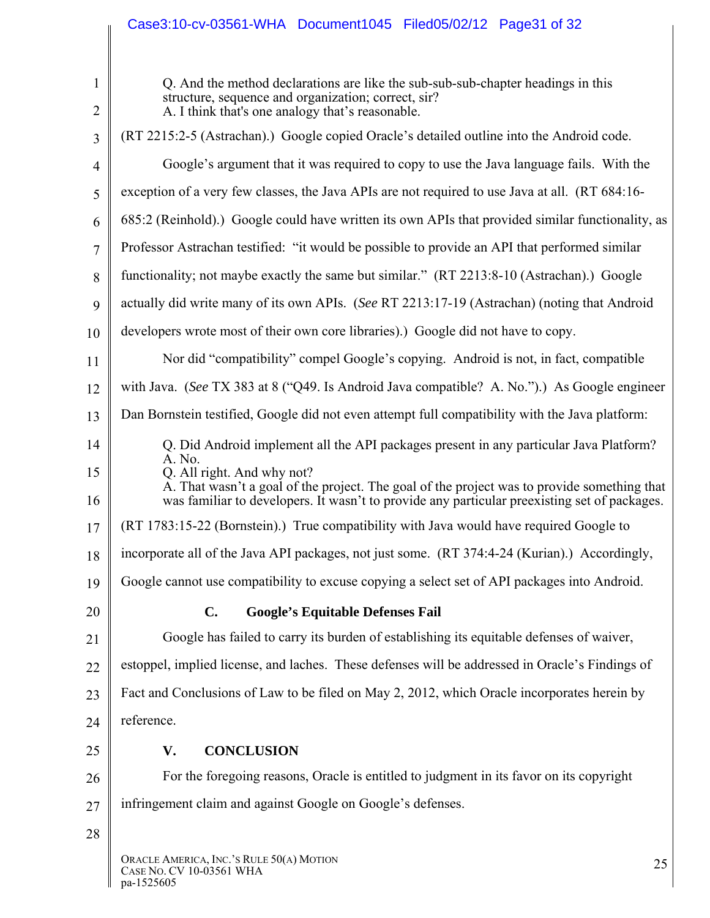|                                | Case3:10-cv-03561-WHA Document1045 Filed05/02/12 Page31 of 32                                                                                                                                                                       |  |  |  |  |  |
|--------------------------------|-------------------------------------------------------------------------------------------------------------------------------------------------------------------------------------------------------------------------------------|--|--|--|--|--|
|                                |                                                                                                                                                                                                                                     |  |  |  |  |  |
| $\mathbf{1}$<br>$\overline{2}$ | Q. And the method declarations are like the sub-sub-sub-chapter headings in this<br>structure, sequence and organization; correct, sir?<br>A. I think that's one analogy that's reasonable.                                         |  |  |  |  |  |
| 3                              | (RT 2215:2-5 (Astrachan).) Google copied Oracle's detailed outline into the Android code.                                                                                                                                           |  |  |  |  |  |
| $\overline{4}$                 | Google's argument that it was required to copy to use the Java language fails. With the                                                                                                                                             |  |  |  |  |  |
| 5                              | exception of a very few classes, the Java APIs are not required to use Java at all. (RT 684:16-                                                                                                                                     |  |  |  |  |  |
| 6                              | 685:2 (Reinhold).) Google could have written its own APIs that provided similar functionality, as                                                                                                                                   |  |  |  |  |  |
| 7                              | Professor Astrachan testified: "it would be possible to provide an API that performed similar                                                                                                                                       |  |  |  |  |  |
| 8                              | functionality; not maybe exactly the same but similar." (RT 2213:8-10 (Astrachan).) Google                                                                                                                                          |  |  |  |  |  |
| 9                              | actually did write many of its own APIs. (See RT 2213:17-19 (Astrachan) (noting that Android                                                                                                                                        |  |  |  |  |  |
| 10                             | developers wrote most of their own core libraries).) Google did not have to copy.                                                                                                                                                   |  |  |  |  |  |
| 11                             | Nor did "compatibility" compel Google's copying. Android is not, in fact, compatible                                                                                                                                                |  |  |  |  |  |
| 12                             | with Java. (See TX 383 at 8 ("Q49. Is Android Java compatible? A. No.").) As Google engineer                                                                                                                                        |  |  |  |  |  |
| 13                             | Dan Bornstein testified, Google did not even attempt full compatibility with the Java platform:                                                                                                                                     |  |  |  |  |  |
| 14                             | Q. Did Android implement all the API packages present in any particular Java Platform?                                                                                                                                              |  |  |  |  |  |
| 15<br>16                       | A. No.<br>Q. All right. And why not?<br>A. That wasn't a goal of the project. The goal of the project was to provide something that<br>was familiar to developers. It wasn't to provide any particular preexisting set of packages. |  |  |  |  |  |
| 17                             | (RT 1783:15-22 (Bornstein).) True compatibility with Java would have required Google to                                                                                                                                             |  |  |  |  |  |
| 18                             | incorporate all of the Java API packages, not just some. (RT 374:4-24 (Kurian).) Accordingly,                                                                                                                                       |  |  |  |  |  |
| 19                             | Google cannot use compatibility to excuse copying a select set of API packages into Android.                                                                                                                                        |  |  |  |  |  |
| 20                             | <b>Google's Equitable Defenses Fail</b><br>$\mathbf{C}$ .                                                                                                                                                                           |  |  |  |  |  |
| 21                             | Google has failed to carry its burden of establishing its equitable defenses of waiver,                                                                                                                                             |  |  |  |  |  |
| 22                             | estoppel, implied license, and laches. These defenses will be addressed in Oracle's Findings of                                                                                                                                     |  |  |  |  |  |
| 23                             | Fact and Conclusions of Law to be filed on May 2, 2012, which Oracle incorporates herein by                                                                                                                                         |  |  |  |  |  |
| 24                             | reference.                                                                                                                                                                                                                          |  |  |  |  |  |
| 25                             | V.<br><b>CONCLUSION</b>                                                                                                                                                                                                             |  |  |  |  |  |
| 26                             | For the foregoing reasons, Oracle is entitled to judgment in its favor on its copyright                                                                                                                                             |  |  |  |  |  |
| 27                             | infringement claim and against Google on Google's defenses.                                                                                                                                                                         |  |  |  |  |  |
| 28                             |                                                                                                                                                                                                                                     |  |  |  |  |  |
|                                | ORACLE AMERICA, INC.'S RULE 50(A) MOTION<br>25<br>CASE NO. CV 10-03561 WHA<br>pa-1525605                                                                                                                                            |  |  |  |  |  |